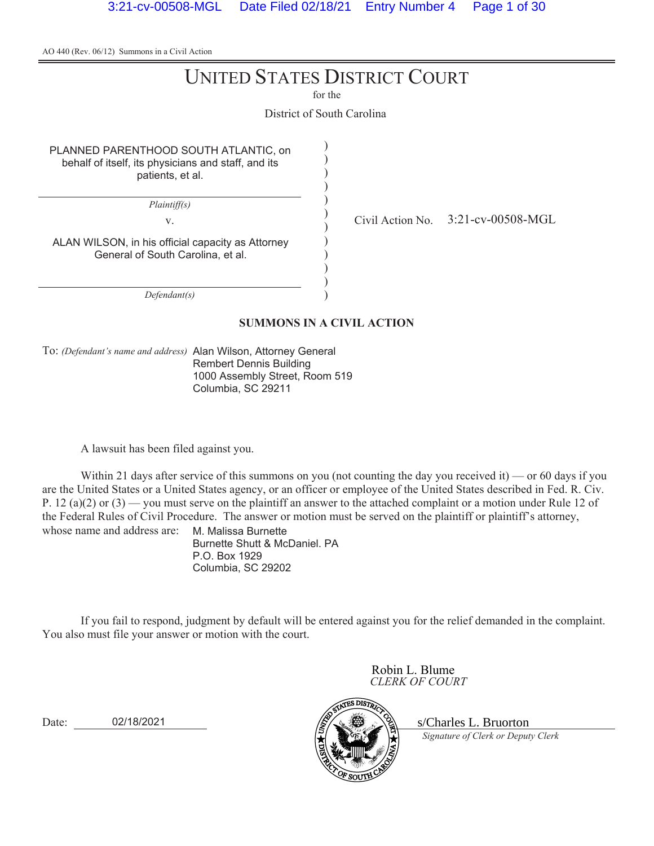# UNITED STATES DISTRICT COURT

for the

District of South Carolina

) ) ) ) ) ) ) ) ) ) ) )

PLANNED PARENTHOOD SOUTH ATLANTIC, on behalf of itself, its physicians and staff, and its patients, et al.

*Plaintiff(s)*

v.  $\frac{1}{2}$  Civil Action No. 3:21-cv-00508-MGL

ALAN WILSON, in his official capacity as Attorney General of South Carolina, et al.

*Defendant(s)*

#### **SUMMONS IN A CIVIL ACTION**

To: *(Defendant's name and address)* Alan Wilson, Attorney General Rembert Dennis Building 1000 Assembly Street, Room 519 Columbia, SC 29211

A lawsuit has been filed against you.

Within 21 days after service of this summons on you (not counting the day you received it) — or 60 days if you are the United States or a United States agency, or an officer or employee of the United States described in Fed. R. Civ. P. 12 (a)(2) or (3) — you must serve on the plaintiff an answer to the attached complaint or a motion under Rule 12 of the Federal Rules of Civil Procedure. The answer or motion must be served on the plaintiff or plaintiff's attorney, whose name and address are: M. Malissa Burnette

Burnette Shutt & McDaniel. PA P.O. Box 1929 Columbia, SC 29202

If you fail to respond, judgment by default will be entered against you for the relief demanded in the complaint. You also must file your answer or motion with the court.

> *CLERK OF COURT* Robin L. Blume<br>CLERK OF COURT<br>
> S/Charles L. Bruorton

*Signature of Clerk or Deputy Clerk*

Date: 02/18/2021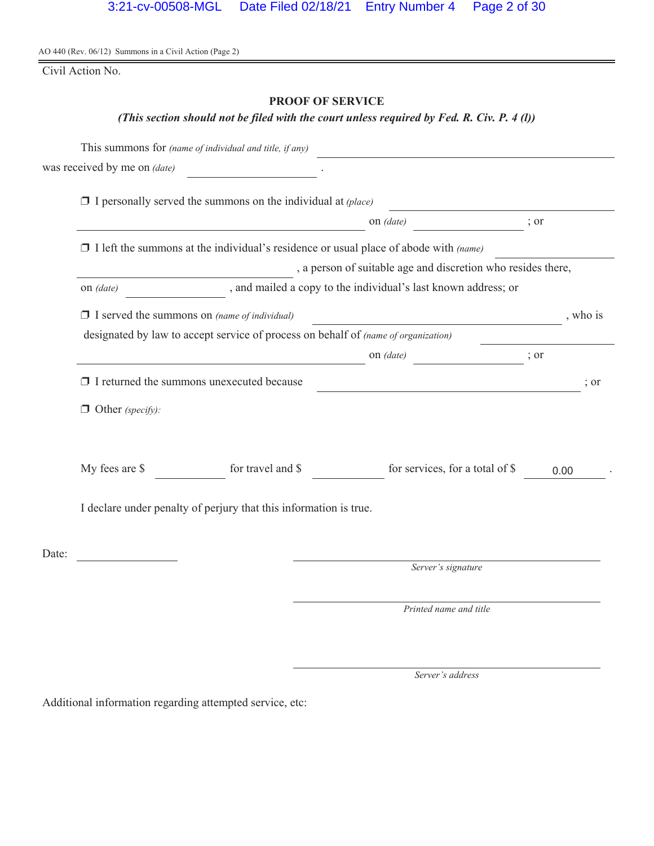Civil Action No.

# **PROOF OF SERVICE**

# *(This section should not be filed with the court unless required by Fed. R. Civ. P. 4 (l))*

|       |                                                                                           | This summons for (name of individual and title, if any)                                     |                                                                                                                        |                  |  |
|-------|-------------------------------------------------------------------------------------------|---------------------------------------------------------------------------------------------|------------------------------------------------------------------------------------------------------------------------|------------------|--|
|       | was received by me on (date)                                                              |                                                                                             |                                                                                                                        |                  |  |
|       |                                                                                           | $\Box$ I personally served the summons on the individual at (place)                         |                                                                                                                        |                  |  |
|       |                                                                                           |                                                                                             | on <i>(date)</i>                                                                                                       | ; or             |  |
|       |                                                                                           | $\Box$ I left the summons at the individual's residence or usual place of abode with (name) |                                                                                                                        |                  |  |
|       |                                                                                           |                                                                                             | , a person of suitable age and discretion who resides there,                                                           |                  |  |
|       | on (date)                                                                                 |                                                                                             | , and mailed a copy to the individual's last known address; or                                                         |                  |  |
|       | $\Box$ I served the summons on (name of individual)                                       |                                                                                             | <u> 1990 - Johann Barbara, politik eta politik eta politik eta politik eta politik eta politik eta politik eta p</u>   | , who is         |  |
|       | designated by law to accept service of process on behalf of <i>(name of organization)</i> |                                                                                             |                                                                                                                        |                  |  |
|       |                                                                                           |                                                                                             | on (date)<br>$\overline{\phantom{a}}$ ; or                                                                             |                  |  |
|       |                                                                                           | $\Box$ I returned the summons unexecuted because                                            | <u> 1989 - Johann Stoff, deutscher Stoffen und der Stoffen und der Stoffen und der Stoffen und der Stoffen und der</u> | $\frac{1}{2}$ or |  |
|       | $\Box$ Other (specify):                                                                   |                                                                                             |                                                                                                                        |                  |  |
|       | My fees are \$                                                                            | for travel and \$                                                                           | for services, for a total of \$                                                                                        | 0.00             |  |
|       |                                                                                           | I declare under penalty of perjury that this information is true.                           |                                                                                                                        |                  |  |
| Date: |                                                                                           |                                                                                             |                                                                                                                        |                  |  |
|       |                                                                                           |                                                                                             | Server's signature                                                                                                     |                  |  |
|       |                                                                                           |                                                                                             | Printed name and title                                                                                                 |                  |  |

*Server's address*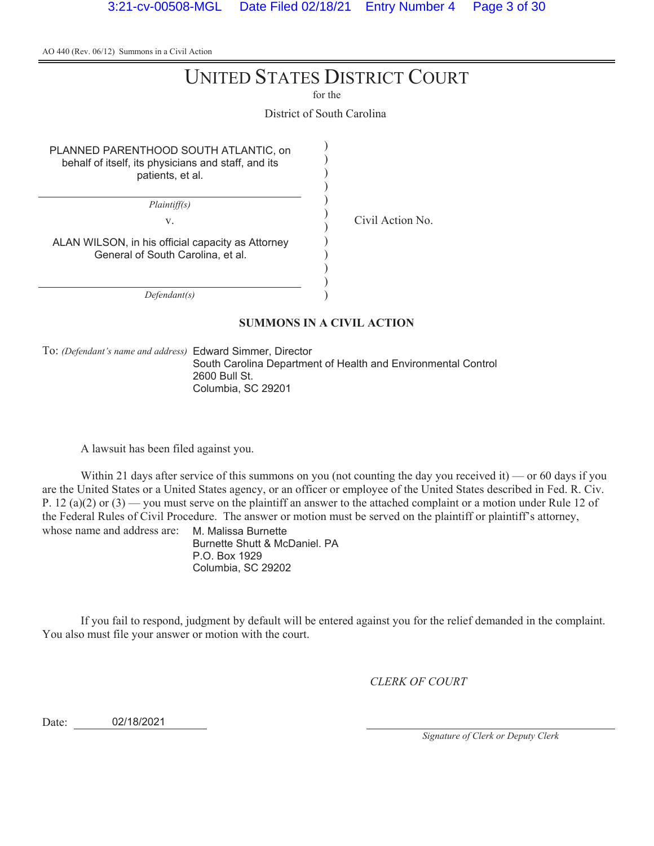# UNITED STATES DISTRICT COURT

for the

District of South Carolina

) ) ) ) ) ) ) ) ) ) ) )

PLANNED PARENTHOOD SOUTH ATLANTIC, on behalf of itself, its physicians and staff, and its patients, et al.

*Plaintiff(s)*

v. Civil Action No.

ALAN WILSON, in his official capacity as Attorney General of South Carolina, et al.

*Defendant(s)*

#### **SUMMONS IN A CIVIL ACTION**

To: *(Defendant's name and address)* Edward Simmer, Director

South Carolina Department of Health and Environmental Control 2600 Bull St. Columbia, SC 29201

A lawsuit has been filed against you.

Within 21 days after service of this summons on you (not counting the day you received it) — or 60 days if you are the United States or a United States agency, or an officer or employee of the United States described in Fed. R. Civ. P. 12 (a)(2) or (3) — you must serve on the plaintiff an answer to the attached complaint or a motion under Rule 12 of the Federal Rules of Civil Procedure. The answer or motion must be served on the plaintiff or plaintiff's attorney, whose name and address are: M. Malissa Burnette

Burnette Shutt & McDaniel. PA P.O. Box 1929 Columbia, SC 29202

If you fail to respond, judgment by default will be entered against you for the relief demanded in the complaint. You also must file your answer or motion with the court.

*CLERK OF COURT*

Date: 02/18/2021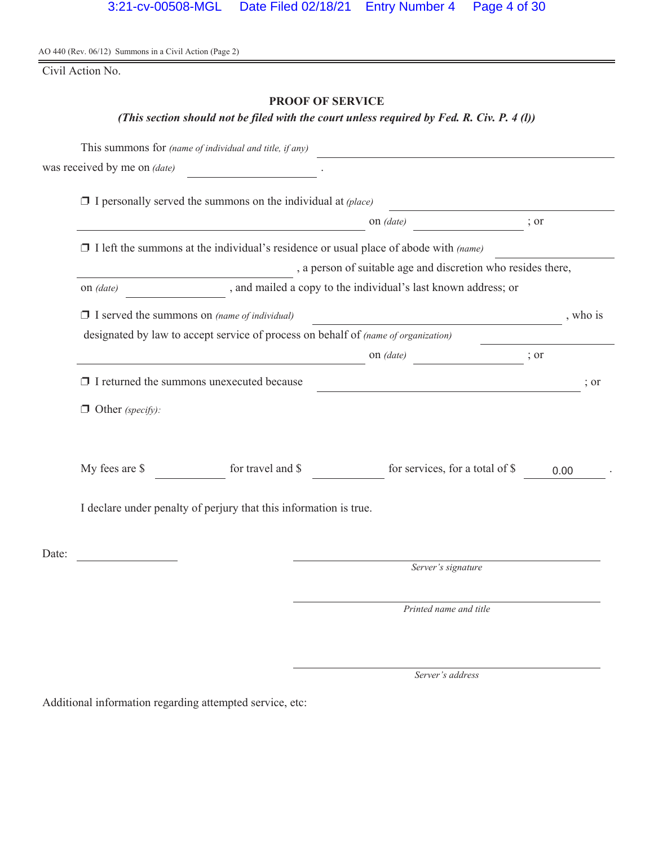Civil Action No.

# **PROOF OF SERVICE**

# *(This section should not be filed with the court unless required by Fed. R. Civ. P. 4 (l))*

|       |                                                     | This summons for (name of individual and title, if any)                                     |                                                                                                                        |      |                  |
|-------|-----------------------------------------------------|---------------------------------------------------------------------------------------------|------------------------------------------------------------------------------------------------------------------------|------|------------------|
|       | was received by me on (date)                        |                                                                                             |                                                                                                                        |      |                  |
|       |                                                     | $\Box$ I personally served the summons on the individual at (place)                         |                                                                                                                        |      |                  |
|       |                                                     |                                                                                             | on (date)                                                                                                              | ; or |                  |
|       |                                                     | $\Box$ I left the summons at the individual's residence or usual place of abode with (name) |                                                                                                                        |      |                  |
|       |                                                     |                                                                                             | , a person of suitable age and discretion who resides there,                                                           |      |                  |
|       | on (date)                                           |                                                                                             | , and mailed a copy to the individual's last known address; or                                                         |      |                  |
|       | $\Box$ I served the summons on (name of individual) |                                                                                             | <u> 1980 - Johann Stoff, deutscher Stoffen und der Stoffen und der Stoffen und der Stoffen und der Stoffen und der</u> |      | , who is         |
|       |                                                     | designated by law to accept service of process on behalf of (name of organization)          |                                                                                                                        |      |                  |
|       |                                                     |                                                                                             | on (date)<br>$\frac{1}{2}$ or                                                                                          |      |                  |
|       |                                                     | $\Box$ I returned the summons unexecuted because                                            | <u> 1989 - Johann Stoff, fransk politik (d. 1989)</u>                                                                  |      | $\frac{1}{2}$ or |
|       | $\Box$ Other (specify):                             |                                                                                             |                                                                                                                        |      |                  |
|       | My fees are \$                                      | for travel and \$                                                                           | for services, for a total of \$                                                                                        | 0.00 |                  |
|       |                                                     | I declare under penalty of perjury that this information is true.                           |                                                                                                                        |      |                  |
| Date: |                                                     |                                                                                             |                                                                                                                        |      |                  |
|       |                                                     |                                                                                             | Server's signature                                                                                                     |      |                  |
|       |                                                     |                                                                                             | Printed name and title                                                                                                 |      |                  |

*Server's address*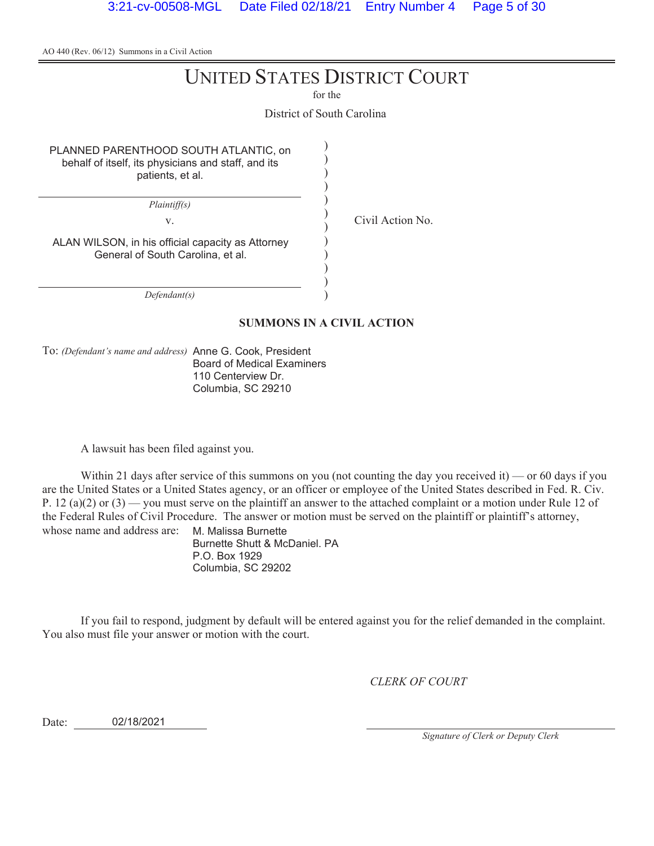# UNITED STATES DISTRICT COURT

for the

District of South Carolina

) ) ) ) ) ) ) ) ) ) ) )

PLANNED PARENTHOOD SOUTH ATLANTIC, on behalf of itself, its physicians and staff, and its patients, et al.

*Plaintiff(s)*

v. Civil Action No.

ALAN WILSON, in his official capacity as Attorney General of South Carolina, et al.

*Defendant(s)*

#### **SUMMONS IN A CIVIL ACTION**

To: *(Defendant's name and address)* Anne G. Cook, President Board of Medical Examiners 110 Centerview Dr. Columbia, SC 29210

A lawsuit has been filed against you.

Within 21 days after service of this summons on you (not counting the day you received it) — or 60 days if you are the United States or a United States agency, or an officer or employee of the United States described in Fed. R. Civ. P. 12 (a)(2) or (3) — you must serve on the plaintiff an answer to the attached complaint or a motion under Rule 12 of the Federal Rules of Civil Procedure. The answer or motion must be served on the plaintiff or plaintiff's attorney, whose name and address are: M. Malissa Burnette

Burnette Shutt & McDaniel. PA P.O. Box 1929 Columbia, SC 29202

If you fail to respond, judgment by default will be entered against you for the relief demanded in the complaint. You also must file your answer or motion with the court.

*CLERK OF COURT*

Date: 02/18/2021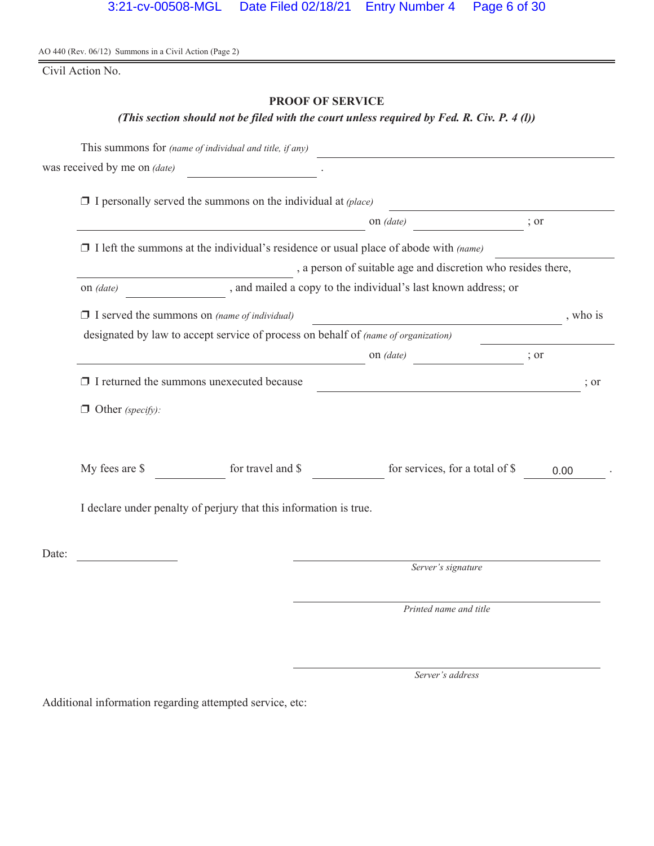Civil Action No.

# **PROOF OF SERVICE**

# *(This section should not be filed with the court unless required by Fed. R. Civ. P. 4 (l))*

|       |                              | This summons for (name of individual and title, if any)                                     |                                                                |      |          |
|-------|------------------------------|---------------------------------------------------------------------------------------------|----------------------------------------------------------------|------|----------|
|       | was received by me on (date) |                                                                                             |                                                                |      |          |
|       |                              | $\Box$ I personally served the summons on the individual at (place)                         |                                                                |      |          |
|       |                              |                                                                                             | on (date)                                                      | ; or |          |
|       |                              | $\Box$ I left the summons at the individual's residence or usual place of abode with (name) |                                                                |      |          |
|       |                              |                                                                                             | , a person of suitable age and discretion who resides there,   |      |          |
|       | on (date)                    |                                                                                             | , and mailed a copy to the individual's last known address; or |      |          |
|       |                              | $\Box$ I served the summons on (name of individual)                                         |                                                                |      | , who is |
|       |                              | designated by law to accept service of process on behalf of (name of organization)          |                                                                |      |          |
|       |                              |                                                                                             | on (date)                                                      | ; or |          |
|       |                              | $\Box$ I returned the summons unexecuted because                                            | <u> 1989 - Johann Barbara, martin amerikan personal (</u>      |      | ; or     |
|       | $\Box$ Other (specify):      |                                                                                             |                                                                |      |          |
|       | My fees are \$               | for travel and \$                                                                           | for services, for a total of \$                                |      | 0.00     |
|       |                              | I declare under penalty of perjury that this information is true.                           |                                                                |      |          |
| Date: |                              |                                                                                             |                                                                |      |          |
|       |                              |                                                                                             | Server's signature                                             |      |          |
|       |                              |                                                                                             | Printed name and title                                         |      |          |

*Server's address*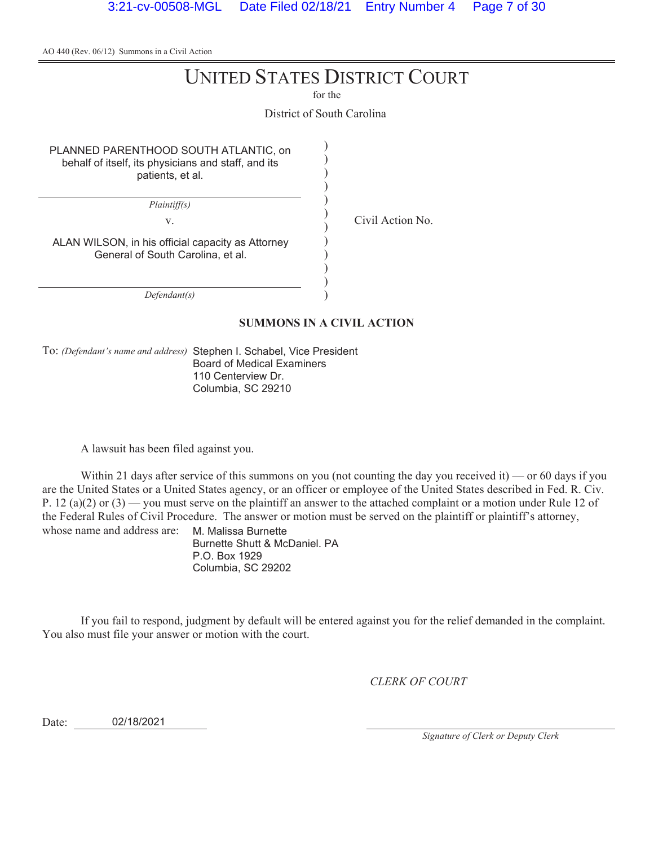# UNITED STATES DISTRICT COURT

for the

District of South Carolina

) ) ) ) ) ) ) ) ) ) ) )

PLANNED PARENTHOOD SOUTH ATLANTIC, on behalf of itself, its physicians and staff, and its patients, et al.

*Plaintiff(s)*

v. Civil Action No.

ALAN WILSON, in his official capacity as Attorney General of South Carolina, et al.

*Defendant(s)*

#### **SUMMONS IN A CIVIL ACTION**

To: *(Defendant's name and address)* Stephen I. Schabel, Vice President Board of Medical Examiners 110 Centerview Dr. Columbia, SC 29210

A lawsuit has been filed against you.

Within 21 days after service of this summons on you (not counting the day you received it) — or 60 days if you are the United States or a United States agency, or an officer or employee of the United States described in Fed. R. Civ. P. 12 (a)(2) or (3) — you must serve on the plaintiff an answer to the attached complaint or a motion under Rule 12 of the Federal Rules of Civil Procedure. The answer or motion must be served on the plaintiff or plaintiff's attorney, whose name and address are: M. Malissa Burnette

Burnette Shutt & McDaniel. PA P.O. Box 1929 Columbia, SC 29202

If you fail to respond, judgment by default will be entered against you for the relief demanded in the complaint. You also must file your answer or motion with the court.

*CLERK OF COURT*

Date: 02/18/2021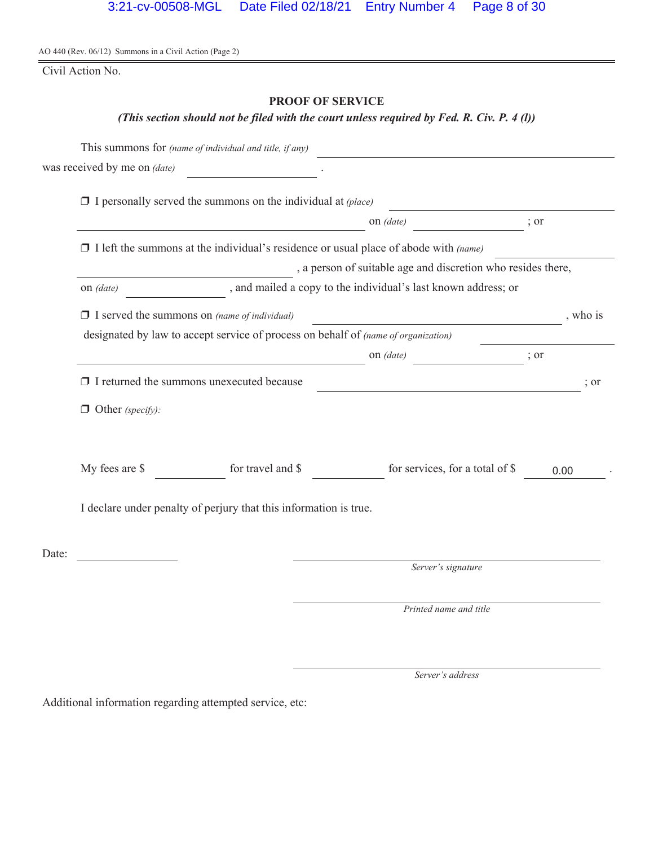Civil Action No.

# **PROOF OF SERVICE**

# *(This section should not be filed with the court unless required by Fed. R. Civ. P. 4 (l))*

|       |                                                                                           | This summons for (name of individual and title, if any)                                     |                                                                                                                        |                  |  |
|-------|-------------------------------------------------------------------------------------------|---------------------------------------------------------------------------------------------|------------------------------------------------------------------------------------------------------------------------|------------------|--|
|       | was received by me on (date)                                                              |                                                                                             |                                                                                                                        |                  |  |
|       |                                                                                           | $\Box$ I personally served the summons on the individual at (place)                         |                                                                                                                        |                  |  |
|       |                                                                                           |                                                                                             | on <i>(date)</i>                                                                                                       | ; or             |  |
|       |                                                                                           | $\Box$ I left the summons at the individual's residence or usual place of abode with (name) |                                                                                                                        |                  |  |
|       |                                                                                           |                                                                                             | , a person of suitable age and discretion who resides there,                                                           |                  |  |
|       | on (date)                                                                                 |                                                                                             | , and mailed a copy to the individual's last known address; or                                                         |                  |  |
|       | $\Box$ I served the summons on (name of individual)                                       |                                                                                             | <u> 1990 - Johann Barbara, politik eta politik eta politik eta politik eta politik eta politik eta politik eta p</u>   | , who is         |  |
|       | designated by law to accept service of process on behalf of <i>(name of organization)</i> |                                                                                             |                                                                                                                        |                  |  |
|       |                                                                                           |                                                                                             | on (date)<br>$\overline{\phantom{a}}$ ; or                                                                             |                  |  |
|       |                                                                                           | $\Box$ I returned the summons unexecuted because                                            | <u> 1989 - Johann Stoff, deutscher Stoffen und der Stoffen und der Stoffen und der Stoffen und der Stoffen und der</u> | $\frac{1}{2}$ or |  |
|       | $\Box$ Other (specify):                                                                   |                                                                                             |                                                                                                                        |                  |  |
|       | My fees are \$                                                                            | for travel and \$                                                                           | for services, for a total of \$                                                                                        | 0.00             |  |
|       |                                                                                           | I declare under penalty of perjury that this information is true.                           |                                                                                                                        |                  |  |
| Date: |                                                                                           |                                                                                             |                                                                                                                        |                  |  |
|       |                                                                                           |                                                                                             | Server's signature                                                                                                     |                  |  |
|       |                                                                                           |                                                                                             | Printed name and title                                                                                                 |                  |  |

*Server's address*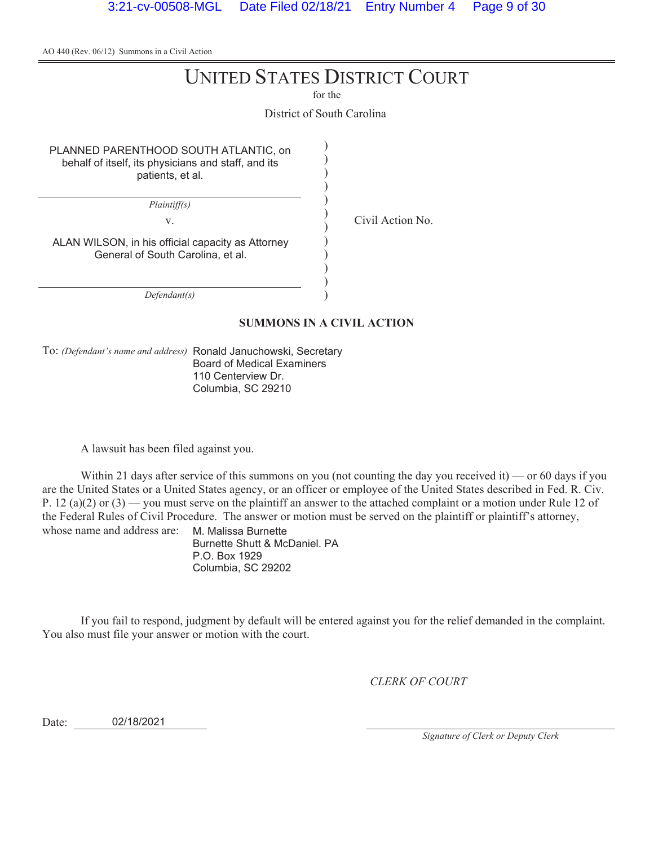# UNITED STATES DISTRICT COURT

for the

District of South Carolina

) ) ) ) ) ) ) ) ) ) ) )

PLANNED PARENTHOOD SOUTH ATLANTIC, on behalf of itself, its physicians and staff, and its patients, et al.

*Plaintiff(s)*

v. Civil Action No.

ALAN WILSON, in his official capacity as Attorney General of South Carolina, et al.

*Defendant(s)*

#### **SUMMONS IN A CIVIL ACTION**

To: *(Defendant's name and address)* Ronald Januchowski, Secretary Board of Medical Examiners 110 Centerview Dr. Columbia, SC 29210

A lawsuit has been filed against you.

Within 21 days after service of this summons on you (not counting the day you received it) — or 60 days if you are the United States or a United States agency, or an officer or employee of the United States described in Fed. R. Civ. P. 12 (a)(2) or (3) — you must serve on the plaintiff an answer to the attached complaint or a motion under Rule 12 of the Federal Rules of Civil Procedure. The answer or motion must be served on the plaintiff or plaintiff's attorney, whose name and address are: M. Malissa Burnette

Burnette Shutt & McDaniel. PA P.O. Box 1929 Columbia, SC 29202

If you fail to respond, judgment by default will be entered against you for the relief demanded in the complaint. You also must file your answer or motion with the court.

*CLERK OF COURT*

Date: 02/18/2021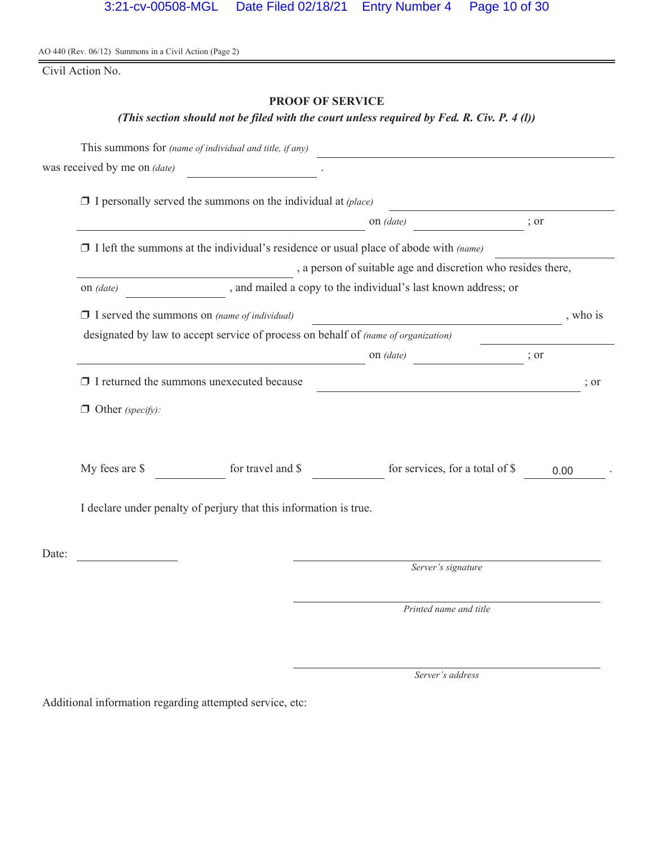Civil Action No.

# **PROOF OF SERVICE**

## *(This section should not be filed with the court unless required by Fed. R. Civ. P. 4 (l))*

|       |                                                                                           | This summons for (name of individual and title, if any)                                     |                                                                                                                        |                  |  |
|-------|-------------------------------------------------------------------------------------------|---------------------------------------------------------------------------------------------|------------------------------------------------------------------------------------------------------------------------|------------------|--|
|       | was received by me on (date)                                                              |                                                                                             |                                                                                                                        |                  |  |
|       |                                                                                           | $\Box$ I personally served the summons on the individual at (place)                         |                                                                                                                        |                  |  |
|       |                                                                                           |                                                                                             | on <i>(date)</i>                                                                                                       | ; or             |  |
|       |                                                                                           | $\Box$ I left the summons at the individual's residence or usual place of abode with (name) |                                                                                                                        |                  |  |
|       |                                                                                           |                                                                                             | , a person of suitable age and discretion who resides there,                                                           |                  |  |
|       | on (date)                                                                                 |                                                                                             | , and mailed a copy to the individual's last known address; or                                                         |                  |  |
|       | $\Box$ I served the summons on (name of individual)                                       |                                                                                             | <u> 1990 - Johann Barbara, politik eta politik eta politik eta politik eta politik eta politik eta politik eta p</u>   | , who is         |  |
|       | designated by law to accept service of process on behalf of <i>(name of organization)</i> |                                                                                             |                                                                                                                        |                  |  |
|       |                                                                                           |                                                                                             | on (date)<br>$\overline{\phantom{a}}$ ; or                                                                             |                  |  |
|       |                                                                                           | $\Box$ I returned the summons unexecuted because                                            | <u> 1989 - Johann Stoff, deutscher Stoffen und der Stoffen und der Stoffen und der Stoffen und der Stoffen und der</u> | $\frac{1}{2}$ or |  |
|       | $\Box$ Other (specify):                                                                   |                                                                                             |                                                                                                                        |                  |  |
|       | My fees are \$                                                                            | for travel and \$                                                                           | for services, for a total of \$                                                                                        | 0.00             |  |
|       |                                                                                           | I declare under penalty of perjury that this information is true.                           |                                                                                                                        |                  |  |
| Date: |                                                                                           |                                                                                             |                                                                                                                        |                  |  |
|       |                                                                                           |                                                                                             | Server's signature                                                                                                     |                  |  |
|       |                                                                                           |                                                                                             | Printed name and title                                                                                                 |                  |  |

*Server's address*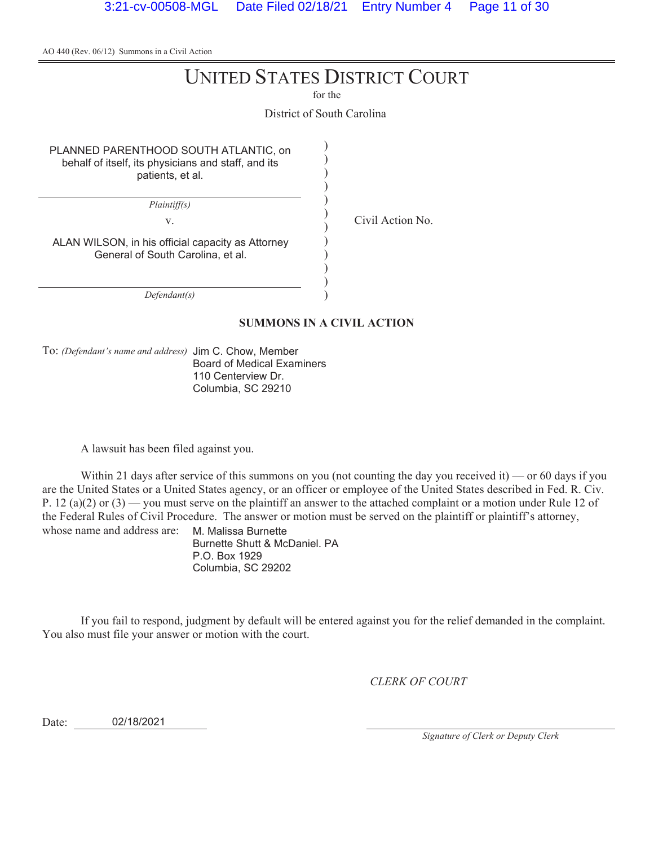# UNITED STATES DISTRICT COURT

for the

District of South Carolina

) ) ) ) ) ) ) ) ) ) ) )

PLANNED PARENTHOOD SOUTH ATLANTIC, on behalf of itself, its physicians and staff, and its patients, et al.

*Plaintiff(s)*

v. Civil Action No.

ALAN WILSON, in his official capacity as Attorney General of South Carolina, et al.

*Defendant(s)*

#### **SUMMONS IN A CIVIL ACTION**

To: *(Defendant's name and address)* Jim C. Chow, Member Board of Medical Examiners 110 Centerview Dr. Columbia, SC 29210

A lawsuit has been filed against you.

Within 21 days after service of this summons on you (not counting the day you received it) — or 60 days if you are the United States or a United States agency, or an officer or employee of the United States described in Fed. R. Civ. P. 12 (a)(2) or (3) — you must serve on the plaintiff an answer to the attached complaint or a motion under Rule 12 of the Federal Rules of Civil Procedure. The answer or motion must be served on the plaintiff or plaintiff's attorney, whose name and address are: M. Malissa Burnette

Burnette Shutt & McDaniel. PA P.O. Box 1929 Columbia, SC 29202

If you fail to respond, judgment by default will be entered against you for the relief demanded in the complaint. You also must file your answer or motion with the court.

*CLERK OF COURT*

Date: 02/18/2021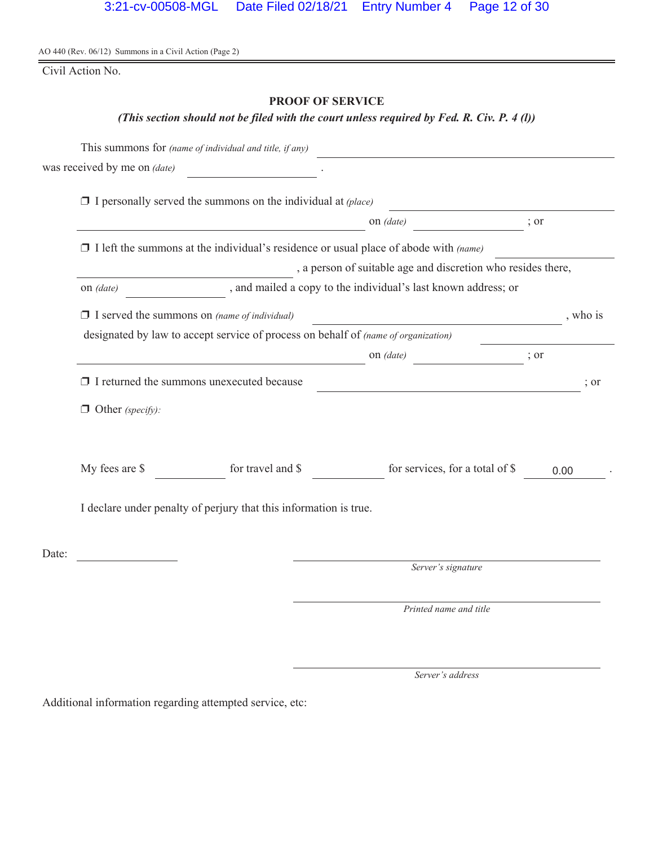Civil Action No.

# **PROOF OF SERVICE**

# *(This section should not be filed with the court unless required by Fed. R. Civ. P. 4 (l))*

|       |                              | This summons for (name of individual and title, if any)                                     |                                                                |          |
|-------|------------------------------|---------------------------------------------------------------------------------------------|----------------------------------------------------------------|----------|
|       | was received by me on (date) |                                                                                             |                                                                |          |
|       |                              | $\Box$ I personally served the summons on the individual at (place)                         |                                                                |          |
|       |                              |                                                                                             | on <i>(date)</i>                                               | ; or     |
|       |                              | $\Box$ I left the summons at the individual's residence or usual place of abode with (name) |                                                                |          |
|       |                              |                                                                                             | , a person of suitable age and discretion who resides there,   |          |
|       | on <i>(date)</i>             |                                                                                             | , and mailed a copy to the individual's last known address; or |          |
|       |                              | $\Box$ I served the summons on (name of individual)                                         | <u> 1980 - Johann Barbara, martxa alemaniar a</u>              | , who is |
|       |                              | designated by law to accept service of process on behalf of (name of organization)          |                                                                |          |
|       |                              |                                                                                             | on (date)<br>$\overline{\phantom{a}}$ ; or                     |          |
|       |                              | $\Box$ I returned the summons unexecuted because                                            | <u> 1980 - Johann Barnett, fransk politiker (d. 1980)</u>      | ; or     |
|       | $\Box$ Other (specify):      |                                                                                             |                                                                |          |
|       | My fees are \$               | for travel and \$                                                                           | for services, for a total of \$                                | 0.00     |
|       |                              | I declare under penalty of perjury that this information is true.                           |                                                                |          |
| Date: |                              |                                                                                             |                                                                |          |
|       |                              |                                                                                             | Server's signature                                             |          |
|       |                              |                                                                                             | Printed name and title                                         |          |

*Server's address*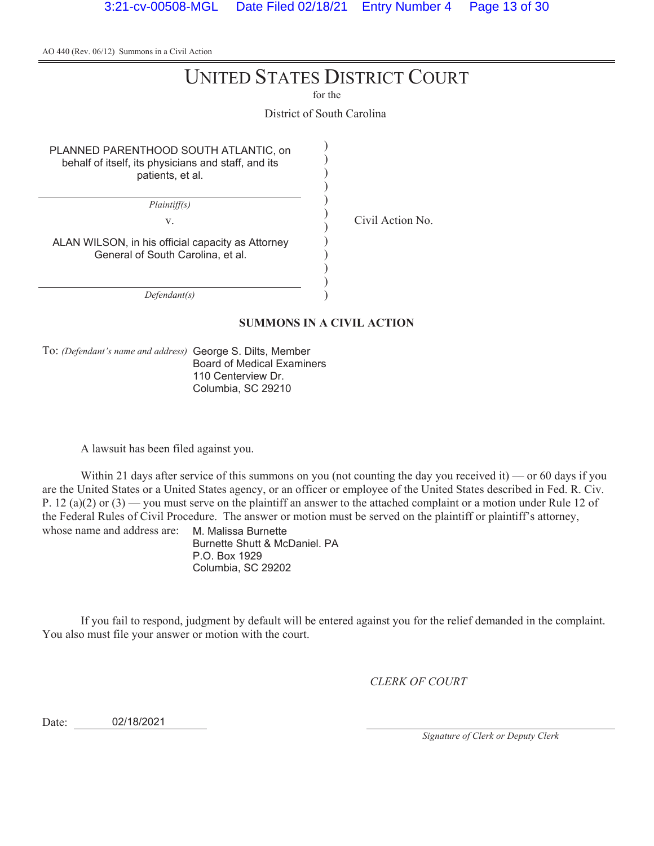# UNITED STATES DISTRICT COURT

for the

District of South Carolina

) ) ) ) ) ) ) ) ) ) ) )

PLANNED PARENTHOOD SOUTH ATLANTIC, on behalf of itself, its physicians and staff, and its patients, et al.

*Plaintiff(s)*

v. Civil Action No.

ALAN WILSON, in his official capacity as Attorney General of South Carolina, et al.

*Defendant(s)*

#### **SUMMONS IN A CIVIL ACTION**

To: *(Defendant's name and address)* George S. Dilts, Member Board of Medical Examiners 110 Centerview Dr. Columbia, SC 29210

A lawsuit has been filed against you.

Within 21 days after service of this summons on you (not counting the day you received it) — or 60 days if you are the United States or a United States agency, or an officer or employee of the United States described in Fed. R. Civ. P. 12 (a)(2) or (3) — you must serve on the plaintiff an answer to the attached complaint or a motion under Rule 12 of the Federal Rules of Civil Procedure. The answer or motion must be served on the plaintiff or plaintiff's attorney, whose name and address are: M. Malissa Burnette

Burnette Shutt & McDaniel. PA P.O. Box 1929 Columbia, SC 29202

If you fail to respond, judgment by default will be entered against you for the relief demanded in the complaint. You also must file your answer or motion with the court.

*CLERK OF COURT*

Date: 02/18/2021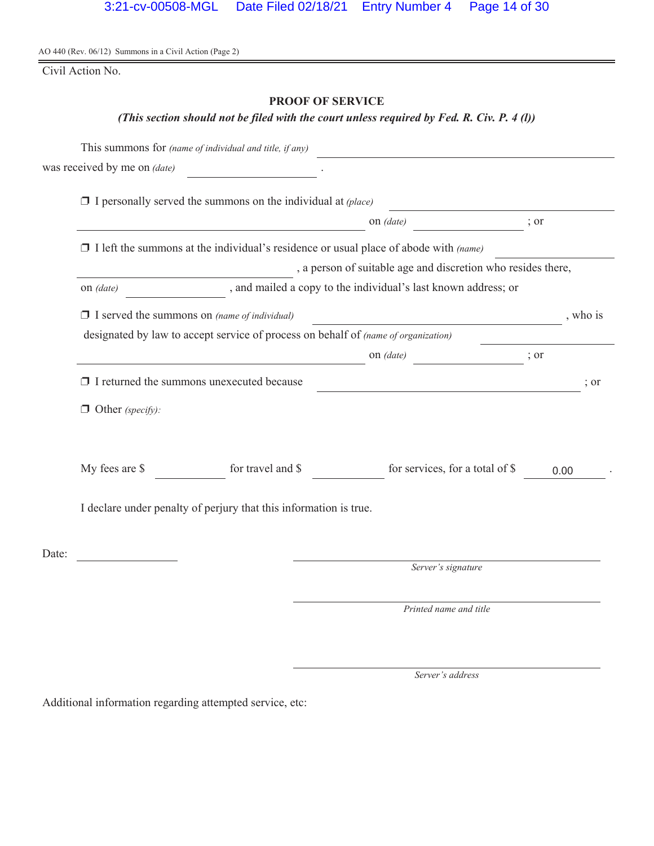Civil Action No.

# **PROOF OF SERVICE**

# *(This section should not be filed with the court unless required by Fed. R. Civ. P. 4 (l))*

|       |                              | This summons for (name of individual and title, if any)                                     |                                                                                                                      |                  |
|-------|------------------------------|---------------------------------------------------------------------------------------------|----------------------------------------------------------------------------------------------------------------------|------------------|
|       | was received by me on (date) |                                                                                             |                                                                                                                      |                  |
|       |                              | $\Box$ I personally served the summons on the individual at (place)                         |                                                                                                                      |                  |
|       |                              |                                                                                             | on <i>(date)</i>                                                                                                     | ; or             |
|       |                              | $\Box$ I left the summons at the individual's residence or usual place of abode with (name) |                                                                                                                      |                  |
|       |                              |                                                                                             | , a person of suitable age and discretion who resides there,                                                         |                  |
|       | on <i>(date)</i>             |                                                                                             | , and mailed a copy to the individual's last known address; or                                                       |                  |
|       |                              | $\Box$ I served the summons on (name of individual)                                         | <u> 1990 - Johann Barbara, politik eta politik eta politik eta politik eta politik eta politik eta politik eta p</u> | , who is         |
|       |                              | designated by law to accept service of process on behalf of <i>(name of organization)</i>   |                                                                                                                      |                  |
|       |                              |                                                                                             | on (date)<br>$\frac{1}{2}$ or                                                                                        |                  |
|       |                              | $\Box$ I returned the summons unexecuted because                                            | <u> 1989 - Johann Barbara, martin amerikan personal (</u>                                                            | $\frac{1}{2}$ or |
|       | $\Box$ Other (specify):      |                                                                                             |                                                                                                                      |                  |
|       | My fees are \$               | for travel and \$                                                                           | for services, for a total of \$                                                                                      | 0.00             |
|       |                              | I declare under penalty of perjury that this information is true.                           |                                                                                                                      |                  |
| Date: |                              |                                                                                             |                                                                                                                      |                  |
|       |                              |                                                                                             | Server's signature                                                                                                   |                  |
|       |                              |                                                                                             | Printed name and title                                                                                               |                  |

*Server's address*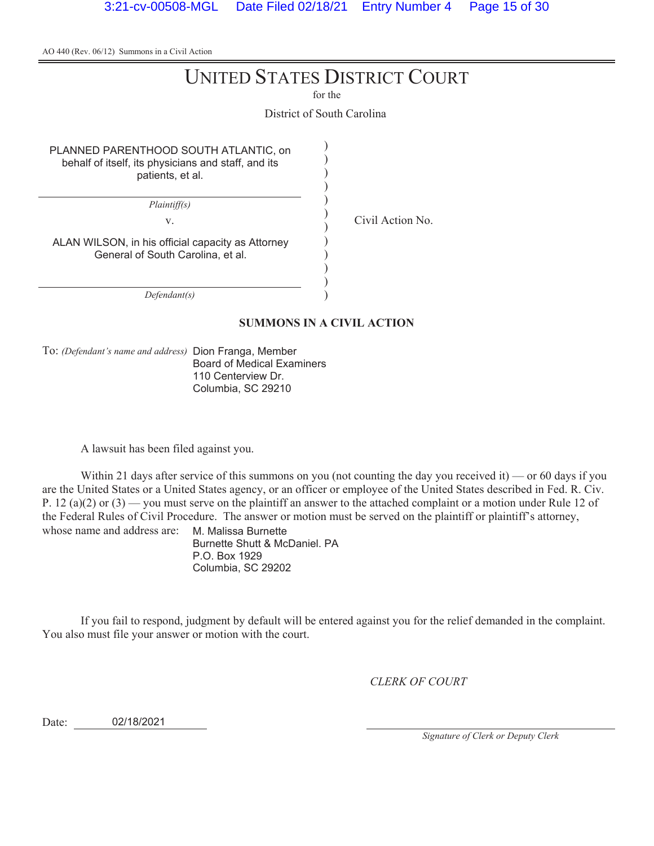# UNITED STATES DISTRICT COURT

for the

District of South Carolina

) ) ) ) ) ) ) ) ) ) ) )

PLANNED PARENTHOOD SOUTH ATLANTIC, on behalf of itself, its physicians and staff, and its patients, et al.

*Plaintiff(s)*

v. Civil Action No.

ALAN WILSON, in his official capacity as Attorney General of South Carolina, et al.

*Defendant(s)*

#### **SUMMONS IN A CIVIL ACTION**

To: *(Defendant's name and address)* Dion Franga, Member Board of Medical Examiners 110 Centerview Dr. Columbia, SC 29210

A lawsuit has been filed against you.

Within 21 days after service of this summons on you (not counting the day you received it) — or 60 days if you are the United States or a United States agency, or an officer or employee of the United States described in Fed. R. Civ. P. 12 (a)(2) or (3) — you must serve on the plaintiff an answer to the attached complaint or a motion under Rule 12 of the Federal Rules of Civil Procedure. The answer or motion must be served on the plaintiff or plaintiff's attorney, whose name and address are: M. Malissa Burnette

Burnette Shutt & McDaniel. PA P.O. Box 1929 Columbia, SC 29202

If you fail to respond, judgment by default will be entered against you for the relief demanded in the complaint. You also must file your answer or motion with the court.

*CLERK OF COURT*

Date: 02/18/2021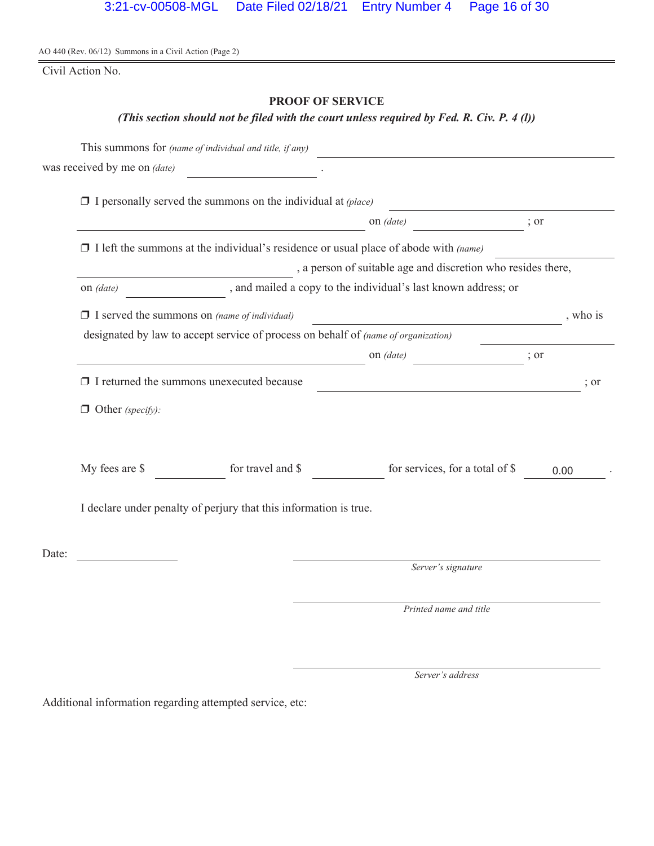Civil Action No.

# **PROOF OF SERVICE**

# *(This section should not be filed with the court unless required by Fed. R. Civ. P. 4 (l))*

|       |                              | This summons for (name of individual and title, if any)                                     |                                                                |          |
|-------|------------------------------|---------------------------------------------------------------------------------------------|----------------------------------------------------------------|----------|
|       | was received by me on (date) |                                                                                             |                                                                |          |
|       |                              | $\Box$ I personally served the summons on the individual at (place)                         |                                                                |          |
|       |                              |                                                                                             | on <i>(date)</i>                                               | ; or     |
|       |                              | $\Box$ I left the summons at the individual's residence or usual place of abode with (name) |                                                                |          |
|       |                              |                                                                                             | , a person of suitable age and discretion who resides there,   |          |
|       | on <i>(date)</i>             |                                                                                             | , and mailed a copy to the individual's last known address; or |          |
|       |                              | $\Box$ I served the summons on (name of individual)                                         | <u> 1980 - Johann Barbara, martxa alemaniar a</u>              | , who is |
|       |                              | designated by law to accept service of process on behalf of (name of organization)          |                                                                |          |
|       |                              |                                                                                             | on (date)<br>$\overline{\phantom{a}}$ ; or                     |          |
|       |                              | $\Box$ I returned the summons unexecuted because                                            | <u> 1980 - Johann Barnett, fransk politiker (d. 1980)</u>      | ; or     |
|       | $\Box$ Other (specify):      |                                                                                             |                                                                |          |
|       | My fees are \$               | for travel and \$                                                                           | for services, for a total of \$                                | 0.00     |
|       |                              | I declare under penalty of perjury that this information is true.                           |                                                                |          |
| Date: |                              |                                                                                             |                                                                |          |
|       |                              |                                                                                             | Server's signature                                             |          |
|       |                              |                                                                                             | Printed name and title                                         |          |

*Server's address*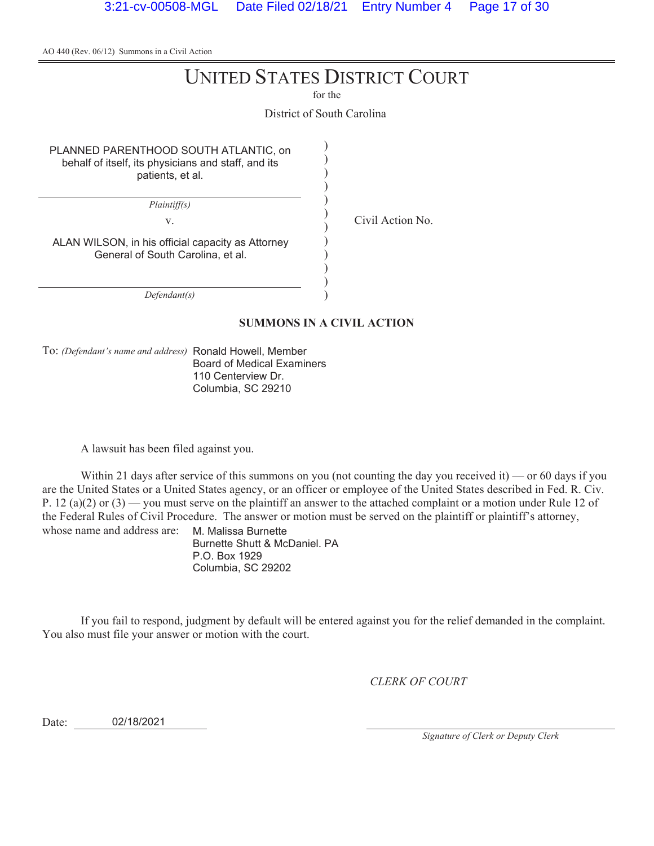# UNITED STATES DISTRICT COURT

for the

District of South Carolina

) ) ) ) ) ) ) ) ) ) ) )

PLANNED PARENTHOOD SOUTH ATLANTIC, on behalf of itself, its physicians and staff, and its patients, et al.

*Plaintiff(s)*

v. Civil Action No.

ALAN WILSON, in his official capacity as Attorney General of South Carolina, et al.

*Defendant(s)*

#### **SUMMONS IN A CIVIL ACTION**

To: *(Defendant's name and address)* Ronald Howell, Member Board of Medical Examiners 110 Centerview Dr. Columbia, SC 29210

A lawsuit has been filed against you.

Within 21 days after service of this summons on you (not counting the day you received it) — or 60 days if you are the United States or a United States agency, or an officer or employee of the United States described in Fed. R. Civ. P. 12 (a)(2) or (3) — you must serve on the plaintiff an answer to the attached complaint or a motion under Rule 12 of the Federal Rules of Civil Procedure. The answer or motion must be served on the plaintiff or plaintiff's attorney, whose name and address are: M. Malissa Burnette

Burnette Shutt & McDaniel. PA P.O. Box 1929 Columbia, SC 29202

If you fail to respond, judgment by default will be entered against you for the relief demanded in the complaint. You also must file your answer or motion with the court.

*CLERK OF COURT*

Date: 02/18/2021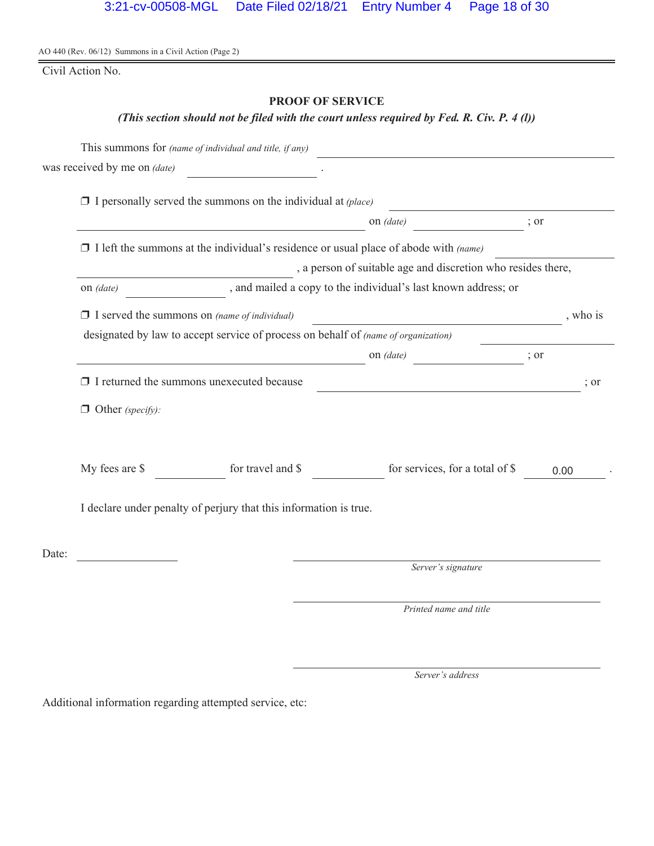Civil Action No.

# **PROOF OF SERVICE**

# *(This section should not be filed with the court unless required by Fed. R. Civ. P. 4 (l))*

|       |                              | This summons for (name of individual and title, if any)                                     |                                                                |          |
|-------|------------------------------|---------------------------------------------------------------------------------------------|----------------------------------------------------------------|----------|
|       | was received by me on (date) |                                                                                             |                                                                |          |
|       |                              | $\Box$ I personally served the summons on the individual at (place)                         |                                                                |          |
|       |                              |                                                                                             | on <i>(date)</i>                                               | ; or     |
|       |                              | $\Box$ I left the summons at the individual's residence or usual place of abode with (name) |                                                                |          |
|       |                              |                                                                                             | , a person of suitable age and discretion who resides there,   |          |
|       | on <i>(date)</i>             |                                                                                             | , and mailed a copy to the individual's last known address; or |          |
|       |                              | $\Box$ I served the summons on (name of individual)                                         | <u> 1980 - Johann Barbara, martxa alemaniar a</u>              | , who is |
|       |                              | designated by law to accept service of process on behalf of (name of organization)          |                                                                |          |
|       |                              |                                                                                             | on (date)<br>$\overline{\phantom{a}}$ ; or                     |          |
|       |                              | $\Box$ I returned the summons unexecuted because                                            | <u> 1980 - Johann Barnett, fransk politiker (d. 1980)</u>      | ; or     |
|       | $\Box$ Other (specify):      |                                                                                             |                                                                |          |
|       | My fees are \$               | for travel and \$                                                                           | for services, for a total of \$                                | 0.00     |
|       |                              | I declare under penalty of perjury that this information is true.                           |                                                                |          |
| Date: |                              |                                                                                             |                                                                |          |
|       |                              |                                                                                             | Server's signature                                             |          |
|       |                              |                                                                                             | Printed name and title                                         |          |

*Server's address*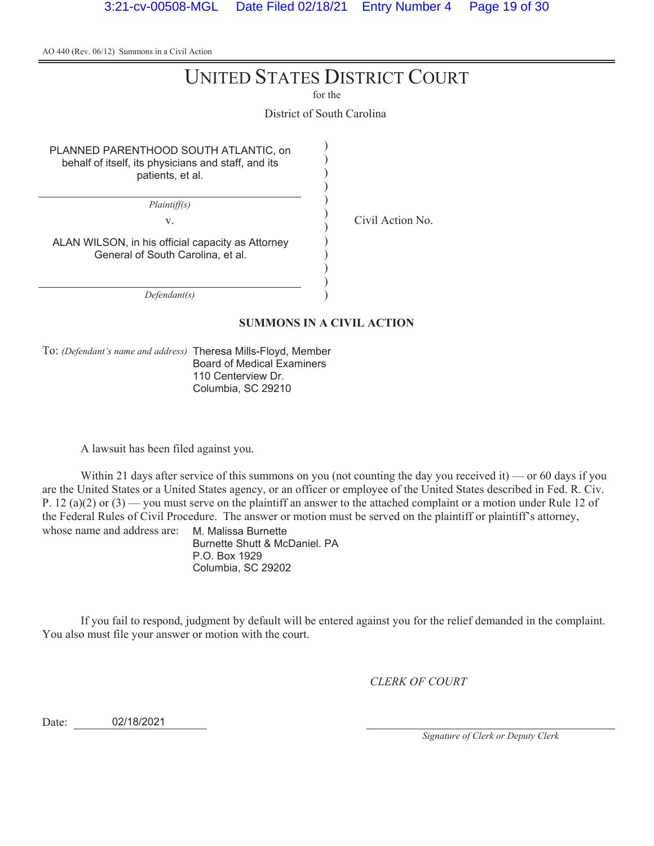# UNITED STATES DISTRICT COURT

for the

District of South Carolina

) ) ) ) ) ) ) ) ) ) ) )

PLANNED PARENTHOOD SOUTH ATLANTIC, on behalf of itself, its physicians and staff, and its patients, et al.

*Plaintiff(s)*

v. Civil Action No.

ALAN WILSON, in his official capacity as Attorney General of South Carolina, et al.

*Defendant(s)*

#### **SUMMONS IN A CIVIL ACTION**

To: *(Defendant's name and address)* Theresa Mills-Floyd, Member Board of Medical Examiners 110 Centerview Dr. Columbia, SC 29210

A lawsuit has been filed against you.

Within 21 days after service of this summons on you (not counting the day you received it) — or 60 days if you are the United States or a United States agency, or an officer or employee of the United States described in Fed. R. Civ. P. 12 (a)(2) or (3) — you must serve on the plaintiff an answer to the attached complaint or a motion under Rule 12 of the Federal Rules of Civil Procedure. The answer or motion must be served on the plaintiff or plaintiff's attorney, whose name and address are: M. Malissa Burnette

Burnette Shutt & McDaniel. PA P.O. Box 1929 Columbia, SC 29202

If you fail to respond, judgment by default will be entered against you for the relief demanded in the complaint. You also must file your answer or motion with the court.

*CLERK OF COURT*

Date: 02/18/2021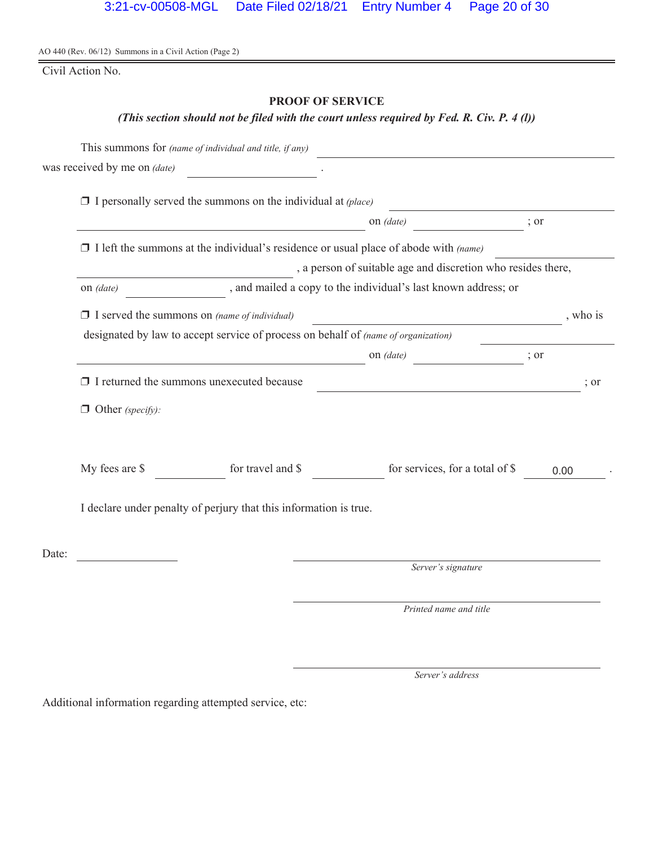Civil Action No.

# **PROOF OF SERVICE**

# *(This section should not be filed with the court unless required by Fed. R. Civ. P. 4 (l))*

|       |                              | This summons for (name of individual and title, if any)                                     |                                                                                                                      |                  |
|-------|------------------------------|---------------------------------------------------------------------------------------------|----------------------------------------------------------------------------------------------------------------------|------------------|
|       | was received by me on (date) |                                                                                             |                                                                                                                      |                  |
|       |                              | $\Box$ I personally served the summons on the individual at (place)                         |                                                                                                                      |                  |
|       |                              |                                                                                             | on <i>(date)</i>                                                                                                     | ; or             |
|       |                              | $\Box$ I left the summons at the individual's residence or usual place of abode with (name) |                                                                                                                      |                  |
|       |                              |                                                                                             | , a person of suitable age and discretion who resides there,                                                         |                  |
|       | on <i>(date)</i>             |                                                                                             | , and mailed a copy to the individual's last known address; or                                                       |                  |
|       |                              | $\Box$ I served the summons on (name of individual)                                         | <u> 1990 - Johann Barbara, politik eta politik eta politik eta politik eta politik eta politik eta politik eta p</u> | , who is         |
|       |                              | designated by law to accept service of process on behalf of <i>(name of organization)</i>   |                                                                                                                      |                  |
|       |                              |                                                                                             | on (date)<br>$\frac{1}{2}$ or                                                                                        |                  |
|       |                              | $\Box$ I returned the summons unexecuted because                                            | <u> 1989 - Johann Barbara, martin amerikan personal (</u>                                                            | $\frac{1}{2}$ or |
|       | $\Box$ Other (specify):      |                                                                                             |                                                                                                                      |                  |
|       | My fees are \$               | for travel and \$                                                                           | for services, for a total of \$                                                                                      | 0.00             |
|       |                              | I declare under penalty of perjury that this information is true.                           |                                                                                                                      |                  |
| Date: |                              |                                                                                             |                                                                                                                      |                  |
|       |                              |                                                                                             | Server's signature                                                                                                   |                  |
|       |                              |                                                                                             | Printed name and title                                                                                               |                  |

*Server's address*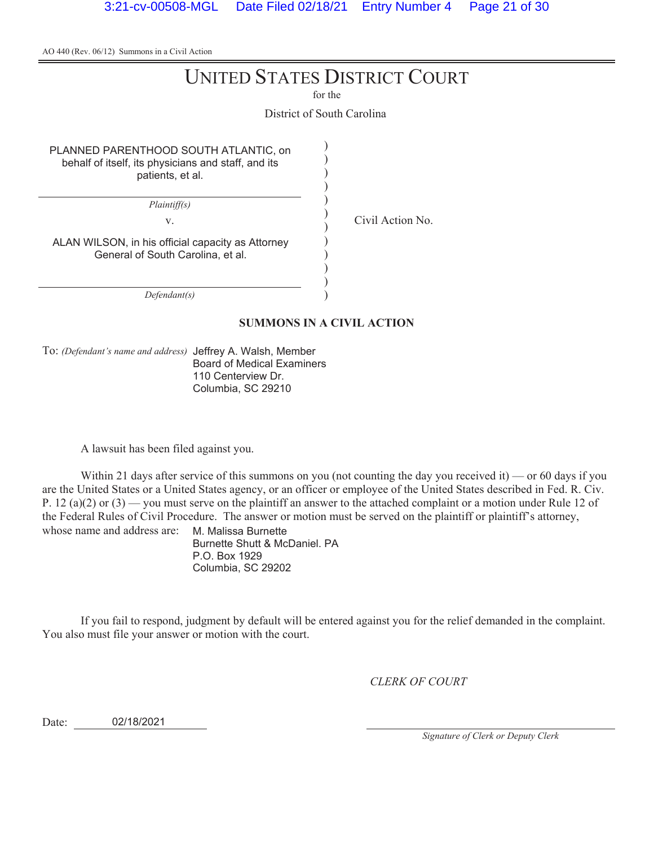# UNITED STATES DISTRICT COURT

for the

District of South Carolina

) ) ) ) ) ) ) ) ) ) ) )

PLANNED PARENTHOOD SOUTH ATLANTIC, on behalf of itself, its physicians and staff, and its patients, et al.

*Plaintiff(s)*

v. Civil Action No.

ALAN WILSON, in his official capacity as Attorney General of South Carolina, et al.

*Defendant(s)*

#### **SUMMONS IN A CIVIL ACTION**

To: *(Defendant's name and address)* Jeffrey A. Walsh, Member Board of Medical Examiners 110 Centerview Dr. Columbia, SC 29210

A lawsuit has been filed against you.

Within 21 days after service of this summons on you (not counting the day you received it) — or 60 days if you are the United States or a United States agency, or an officer or employee of the United States described in Fed. R. Civ. P. 12 (a)(2) or (3) — you must serve on the plaintiff an answer to the attached complaint or a motion under Rule 12 of the Federal Rules of Civil Procedure. The answer or motion must be served on the plaintiff or plaintiff's attorney, whose name and address are: M. Malissa Burnette

Burnette Shutt & McDaniel. PA P.O. Box 1929 Columbia, SC 29202

If you fail to respond, judgment by default will be entered against you for the relief demanded in the complaint. You also must file your answer or motion with the court.

*CLERK OF COURT*

Date: 02/18/2021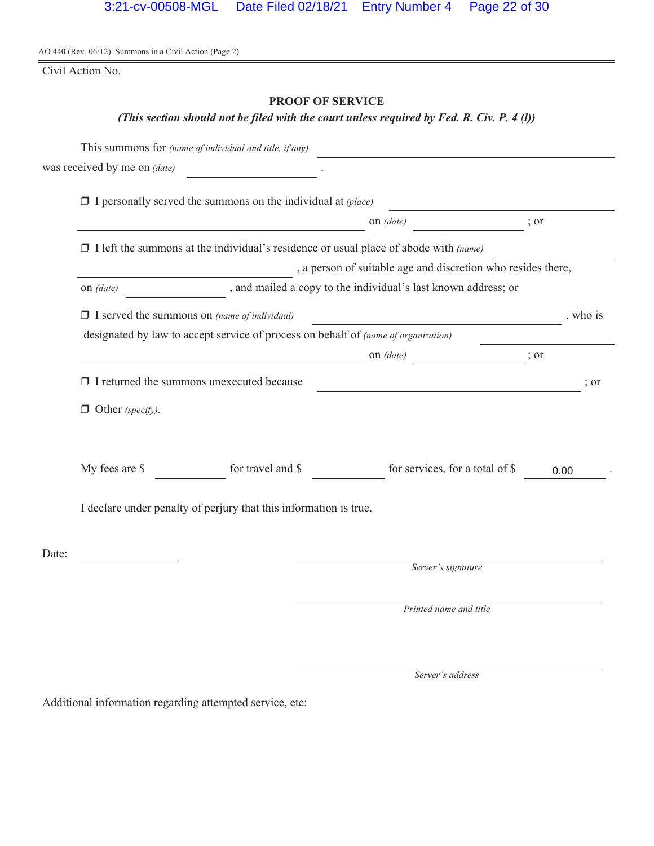Civil Action No.

# **PROOF OF SERVICE**

# *(This section should not be filed with the court unless required by Fed. R. Civ. P. 4 (l))*

|       |                                                     | This summons for (name of individual and title, if any)                                     |                                                                |                  |
|-------|-----------------------------------------------------|---------------------------------------------------------------------------------------------|----------------------------------------------------------------|------------------|
|       | was received by me on (date)                        |                                                                                             |                                                                |                  |
|       |                                                     | $\Box$ I personally served the summons on the individual at (place)                         |                                                                |                  |
|       |                                                     |                                                                                             | on <i>(date)</i>                                               | ; or             |
|       |                                                     | $\Box$ I left the summons at the individual's residence or usual place of abode with (name) |                                                                |                  |
|       |                                                     |                                                                                             | , a person of suitable age and discretion who resides there,   |                  |
|       | on (date)                                           |                                                                                             | , and mailed a copy to the individual's last known address; or |                  |
|       | $\Box$ I served the summons on (name of individual) |                                                                                             |                                                                | , who is         |
|       |                                                     | designated by law to accept service of process on behalf of (name of organization)          |                                                                |                  |
|       |                                                     |                                                                                             | on (date)<br>$\frac{1}{2}$ or                                  |                  |
|       |                                                     | $\Box$ I returned the summons unexecuted because                                            |                                                                | $\frac{1}{2}$ or |
|       | $\Box$ Other (specify):                             |                                                                                             |                                                                |                  |
|       | My fees are \$                                      | for travel and \$                                                                           | for services, for a total of \$                                | 0.00             |
|       |                                                     | I declare under penalty of perjury that this information is true.                           |                                                                |                  |
| Date: |                                                     |                                                                                             |                                                                |                  |
|       |                                                     |                                                                                             | Server's signature                                             |                  |
|       |                                                     |                                                                                             | Printed name and title                                         |                  |

*Server's address*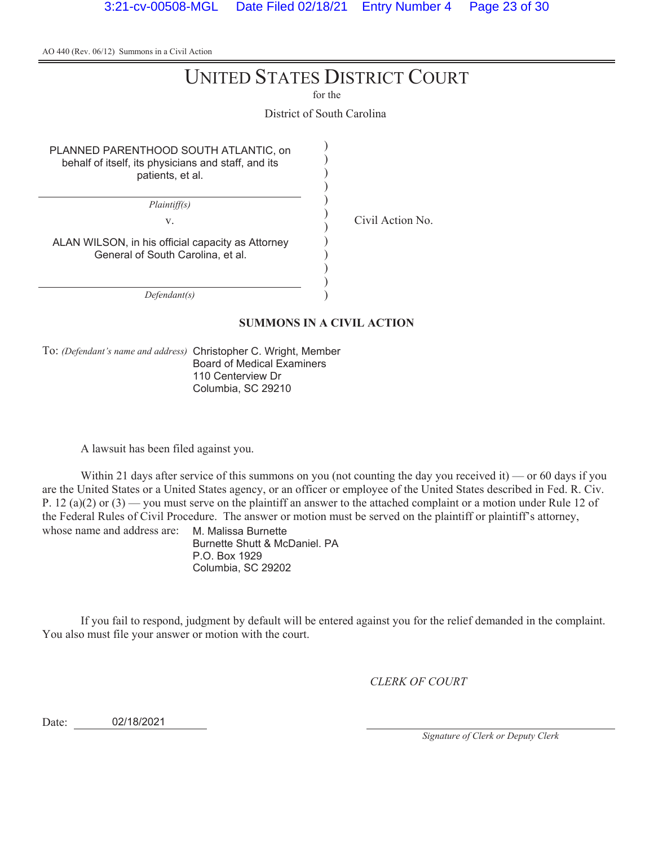# UNITED STATES DISTRICT COURT

for the

District of South Carolina

) ) ) ) ) ) ) ) ) ) ) )

PLANNED PARENTHOOD SOUTH ATLANTIC, on behalf of itself, its physicians and staff, and its patients, et al.

*Plaintiff(s)*

v. Civil Action No.

ALAN WILSON, in his official capacity as Attorney General of South Carolina, et al.

*Defendant(s)*

#### **SUMMONS IN A CIVIL ACTION**

To: *(Defendant's name and address)* Christopher C. Wright, Member Board of Medical Examiners 110 Centerview Dr Columbia, SC 29210

A lawsuit has been filed against you.

Within 21 days after service of this summons on you (not counting the day you received it) — or 60 days if you are the United States or a United States agency, or an officer or employee of the United States described in Fed. R. Civ. P. 12 (a)(2) or (3) — you must serve on the plaintiff an answer to the attached complaint or a motion under Rule 12 of the Federal Rules of Civil Procedure. The answer or motion must be served on the plaintiff or plaintiff's attorney, whose name and address are: M. Malissa Burnette

Burnette Shutt & McDaniel. PA P.O. Box 1929 Columbia, SC 29202

If you fail to respond, judgment by default will be entered against you for the relief demanded in the complaint. You also must file your answer or motion with the court.

*CLERK OF COURT*

Date: 02/18/2021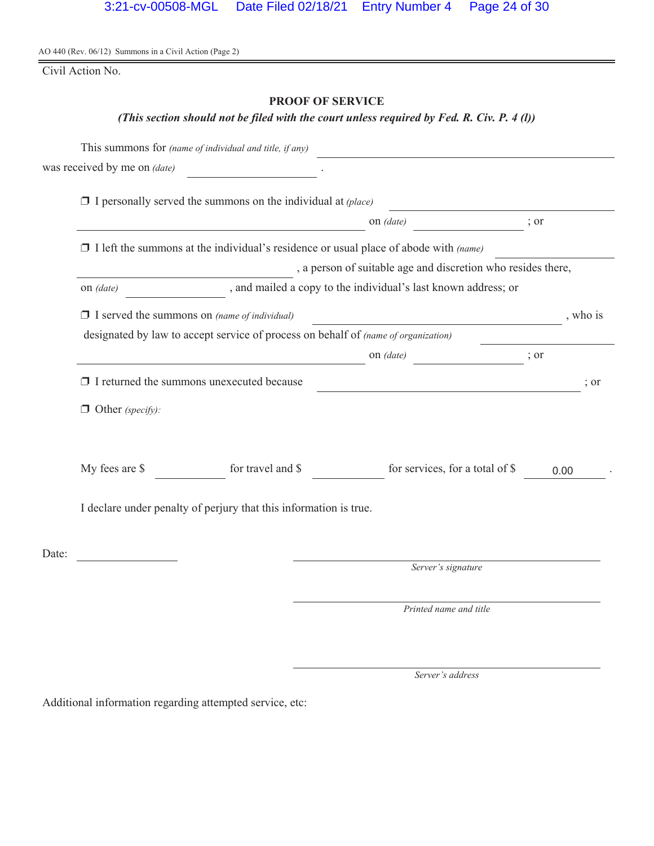Civil Action No.

# **PROOF OF SERVICE**

# *(This section should not be filed with the court unless required by Fed. R. Civ. P. 4 (l))*

|       |                              | This summons for (name of individual and title, if any)                                     |                                                                |      |          |
|-------|------------------------------|---------------------------------------------------------------------------------------------|----------------------------------------------------------------|------|----------|
|       | was received by me on (date) |                                                                                             |                                                                |      |          |
|       |                              | $\Box$ I personally served the summons on the individual at (place)                         |                                                                |      |          |
|       |                              |                                                                                             | on (date)                                                      | ; or |          |
|       |                              | $\Box$ I left the summons at the individual's residence or usual place of abode with (name) |                                                                |      |          |
|       |                              |                                                                                             | , a person of suitable age and discretion who resides there,   |      |          |
|       | on (date)                    |                                                                                             | , and mailed a copy to the individual's last known address; or |      |          |
|       |                              | $\Box$ I served the summons on (name of individual)                                         |                                                                |      | , who is |
|       |                              | designated by law to accept service of process on behalf of (name of organization)          |                                                                |      |          |
|       |                              |                                                                                             | on (date)                                                      | ; or |          |
|       |                              | $\Box$ I returned the summons unexecuted because                                            | <u> 1989 - Johann Barbara, martin amerikan personal (</u>      |      | ; or     |
|       | $\Box$ Other (specify):      |                                                                                             |                                                                |      |          |
|       | My fees are \$               | for travel and \$                                                                           | for services, for a total of \$                                |      | 0.00     |
|       |                              | I declare under penalty of perjury that this information is true.                           |                                                                |      |          |
| Date: |                              |                                                                                             |                                                                |      |          |
|       |                              |                                                                                             | Server's signature                                             |      |          |
|       |                              |                                                                                             | Printed name and title                                         |      |          |

*Server's address*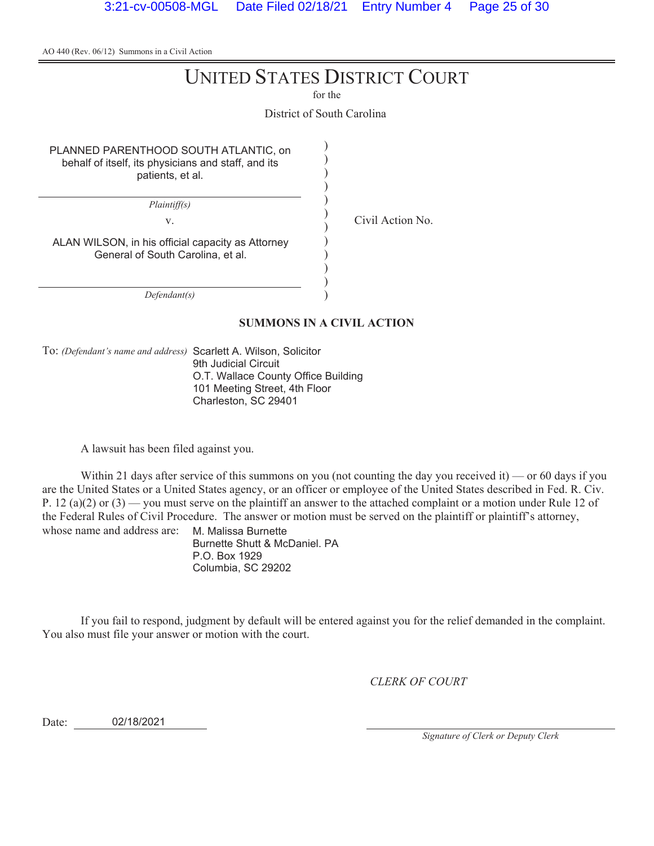# UNITED STATES DISTRICT COURT

for the

District of South Carolina

) ) ) ) ) ) ) ) ) ) ) )

PLANNED PARENTHOOD SOUTH ATLANTIC, on behalf of itself, its physicians and staff, and its patients, et al.

*Plaintiff(s)*

v. Civil Action No.

ALAN WILSON, in his official capacity as Attorney General of South Carolina, et al.

*Defendant(s)*

#### **SUMMONS IN A CIVIL ACTION**

To: *(Defendant's name and address)* Scarlett A. Wilson, Solicitor

9th Judicial Circuit O.T. Wallace County Office Building 101 Meeting Street, 4th Floor Charleston, SC 29401

A lawsuit has been filed against you.

Within 21 days after service of this summons on you (not counting the day you received it) — or 60 days if you are the United States or a United States agency, or an officer or employee of the United States described in Fed. R. Civ. P. 12 (a)(2) or (3) — you must serve on the plaintiff an answer to the attached complaint or a motion under Rule 12 of the Federal Rules of Civil Procedure. The answer or motion must be served on the plaintiff or plaintiff's attorney, whose name and address are: M. Malissa Burnette

Burnette Shutt & McDaniel. PA P.O. Box 1929 Columbia, SC 29202

If you fail to respond, judgment by default will be entered against you for the relief demanded in the complaint. You also must file your answer or motion with the court.

*CLERK OF COURT*

Date: 02/18/2021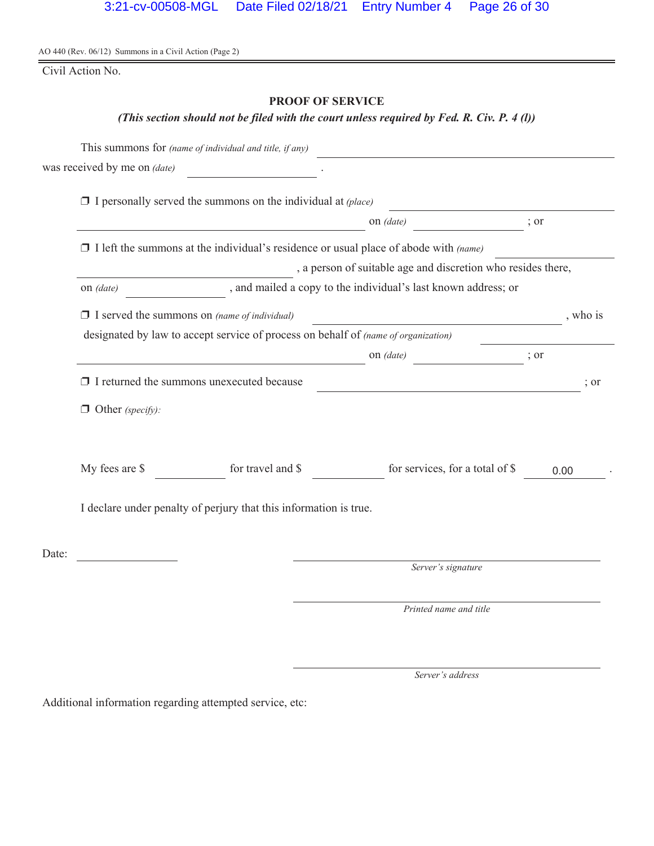Civil Action No.

# **PROOF OF SERVICE**

## *(This section should not be filed with the court unless required by Fed. R. Civ. P. 4 (l))*

|       |                                                                                           | This summons for (name of individual and title, if any)                                     |                                                                                                                        |                  |  |  |  |
|-------|-------------------------------------------------------------------------------------------|---------------------------------------------------------------------------------------------|------------------------------------------------------------------------------------------------------------------------|------------------|--|--|--|
|       | was received by me on (date)                                                              |                                                                                             |                                                                                                                        |                  |  |  |  |
|       |                                                                                           | $\Box$ I personally served the summons on the individual at (place)                         |                                                                                                                        |                  |  |  |  |
|       |                                                                                           |                                                                                             | on <i>(date)</i>                                                                                                       | ; or             |  |  |  |
|       |                                                                                           | $\Box$ I left the summons at the individual's residence or usual place of abode with (name) |                                                                                                                        |                  |  |  |  |
|       | , a person of suitable age and discretion who resides there,                              |                                                                                             |                                                                                                                        |                  |  |  |  |
|       | on (date)                                                                                 | , and mailed a copy to the individual's last known address; or                              |                                                                                                                        |                  |  |  |  |
|       | $\Box$ I served the summons on (name of individual)                                       |                                                                                             | <u> 1990 - Johann Barbara, politik eta politik eta politik eta politik eta politik eta politik eta politik eta p</u>   | , who is         |  |  |  |
|       | designated by law to accept service of process on behalf of <i>(name of organization)</i> |                                                                                             |                                                                                                                        |                  |  |  |  |
|       |                                                                                           |                                                                                             | on (date)<br>$\overline{\phantom{a}}$ ; or                                                                             |                  |  |  |  |
|       |                                                                                           | $\Box$ I returned the summons unexecuted because                                            | <u> 1989 - Johann Stoff, deutscher Stoffen und der Stoffen und der Stoffen und der Stoffen und der Stoffen und der</u> | $\frac{1}{2}$ or |  |  |  |
|       | $\Box$ Other (specify):                                                                   |                                                                                             |                                                                                                                        |                  |  |  |  |
|       | My fees are \$                                                                            | for travel and \$                                                                           | for services, for a total of \$                                                                                        | 0.00             |  |  |  |
|       | I declare under penalty of perjury that this information is true.                         |                                                                                             |                                                                                                                        |                  |  |  |  |
| Date: |                                                                                           |                                                                                             |                                                                                                                        |                  |  |  |  |
|       |                                                                                           |                                                                                             | Server's signature                                                                                                     |                  |  |  |  |
|       |                                                                                           |                                                                                             | Printed name and title                                                                                                 |                  |  |  |  |

*Server's address*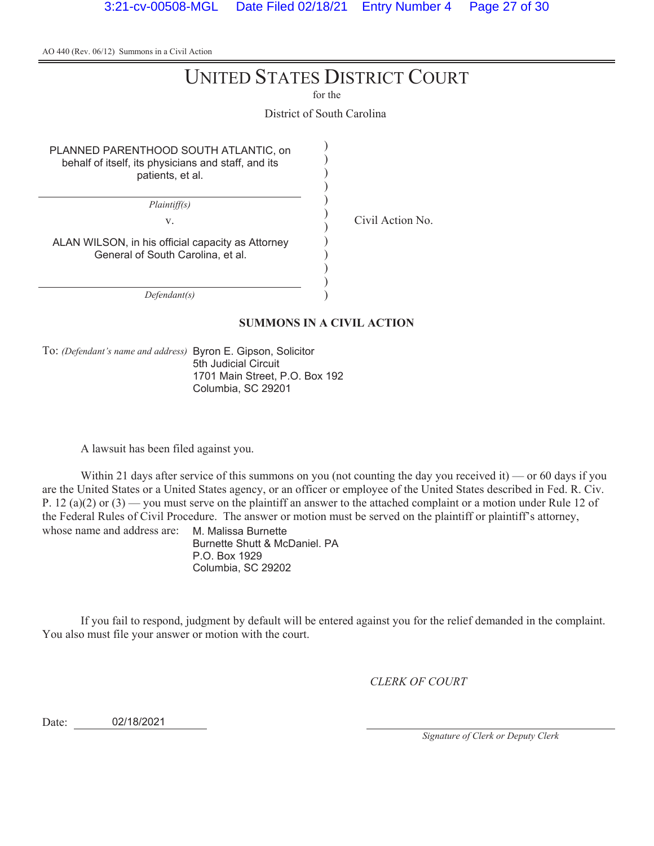# UNITED STATES DISTRICT COURT

for the

District of South Carolina

) ) ) ) ) ) ) ) ) ) ) )

PLANNED PARENTHOOD SOUTH ATLANTIC, on behalf of itself, its physicians and staff, and its patients, et al.

*Plaintiff(s)*

v. Civil Action No.

ALAN WILSON, in his official capacity as Attorney General of South Carolina, et al.

*Defendant(s)*

#### **SUMMONS IN A CIVIL ACTION**

To: *(Defendant's name and address)* Byron E. Gipson, Solicitor 5th Judicial Circuit 1701 Main Street, P.O. Box 192 Columbia, SC 29201

A lawsuit has been filed against you.

Within 21 days after service of this summons on you (not counting the day you received it) — or 60 days if you are the United States or a United States agency, or an officer or employee of the United States described in Fed. R. Civ. P. 12 (a)(2) or (3) — you must serve on the plaintiff an answer to the attached complaint or a motion under Rule 12 of the Federal Rules of Civil Procedure. The answer or motion must be served on the plaintiff or plaintiff's attorney, whose name and address are: M. Malissa Burnette

Burnette Shutt & McDaniel. PA P.O. Box 1929 Columbia, SC 29202

If you fail to respond, judgment by default will be entered against you for the relief demanded in the complaint. You also must file your answer or motion with the court.

*CLERK OF COURT*

Date: 02/18/2021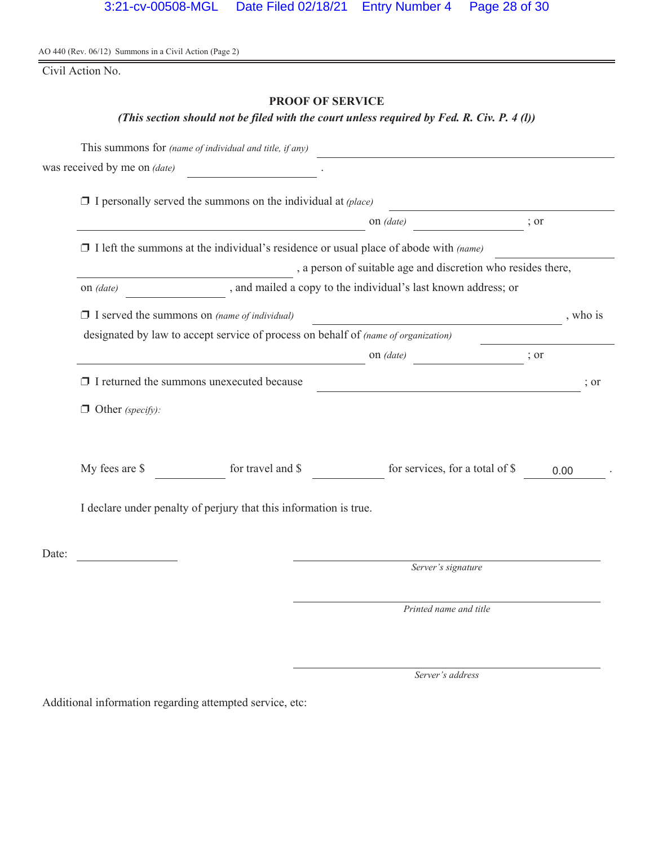Civil Action No.

# **PROOF OF SERVICE**

# *(This section should not be filed with the court unless required by Fed. R. Civ. P. 4 (l))*

|                                                              |                                                                   | This summons for (name of individual and title, if any)                            |                                                                                             |      |          |  |
|--------------------------------------------------------------|-------------------------------------------------------------------|------------------------------------------------------------------------------------|---------------------------------------------------------------------------------------------|------|----------|--|
|                                                              | was received by me on (date)                                      |                                                                                    |                                                                                             |      |          |  |
|                                                              |                                                                   | $\Box$ I personally served the summons on the individual at (place)                |                                                                                             |      |          |  |
|                                                              |                                                                   |                                                                                    | on <i>(date)</i>                                                                            | ; or |          |  |
|                                                              |                                                                   |                                                                                    | $\Box$ I left the summons at the individual's residence or usual place of abode with (name) |      |          |  |
| , a person of suitable age and discretion who resides there, |                                                                   |                                                                                    |                                                                                             |      |          |  |
|                                                              | on <i>(date)</i>                                                  |                                                                                    | , and mailed a copy to the individual's last known address; or                              |      |          |  |
|                                                              |                                                                   | $\Box$ I served the summons on (name of individual)                                |                                                                                             |      | , who is |  |
|                                                              |                                                                   | designated by law to accept service of process on behalf of (name of organization) |                                                                                             |      |          |  |
|                                                              |                                                                   |                                                                                    | on (date)                                                                                   | ; or |          |  |
|                                                              |                                                                   | $\Box$ I returned the summons unexecuted because                                   |                                                                                             |      | ; or     |  |
|                                                              | $\Box$ Other (specify):                                           |                                                                                    |                                                                                             |      |          |  |
|                                                              | My fees are \$                                                    | for travel and \$                                                                  | for services, for a total of \$                                                             | 0.00 |          |  |
|                                                              | I declare under penalty of perjury that this information is true. |                                                                                    |                                                                                             |      |          |  |
| Date:                                                        |                                                                   |                                                                                    |                                                                                             |      |          |  |
|                                                              |                                                                   |                                                                                    | Server's signature                                                                          |      |          |  |
|                                                              |                                                                   |                                                                                    | Printed name and title                                                                      |      |          |  |

*Server's address*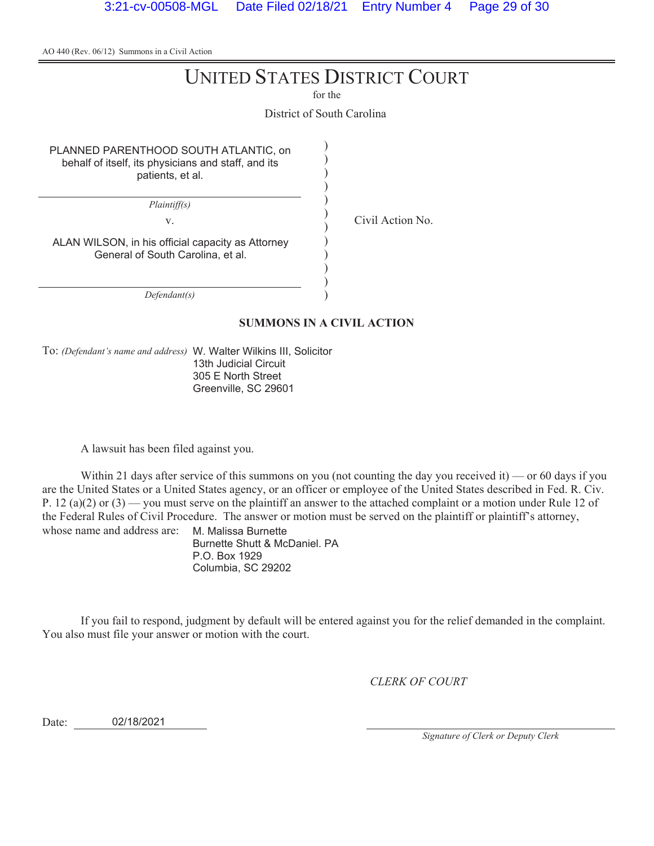# UNITED STATES DISTRICT COURT

for the

District of South Carolina

) ) ) ) ) ) ) ) ) ) ) )

PLANNED PARENTHOOD SOUTH ATLANTIC, on behalf of itself, its physicians and staff, and its patients, et al.

*Plaintiff(s)*

v. Civil Action No.

ALAN WILSON, in his official capacity as Attorney General of South Carolina, et al.

*Defendant(s)*

#### **SUMMONS IN A CIVIL ACTION**

To: *(Defendant's name and address)* W. Walter Wilkins III, Solicitor 13th Judicial Circuit 305 E North Street Greenville, SC 29601

A lawsuit has been filed against you.

Within 21 days after service of this summons on you (not counting the day you received it) — or 60 days if you are the United States or a United States agency, or an officer or employee of the United States described in Fed. R. Civ. P. 12 (a)(2) or (3) — you must serve on the plaintiff an answer to the attached complaint or a motion under Rule 12 of the Federal Rules of Civil Procedure. The answer or motion must be served on the plaintiff or plaintiff's attorney, whose name and address are: M. Malissa Burnette

Burnette Shutt & McDaniel. PA P.O. Box 1929 Columbia, SC 29202

If you fail to respond, judgment by default will be entered against you for the relief demanded in the complaint. You also must file your answer or motion with the court.

*CLERK OF COURT*

Date: 02/18/2021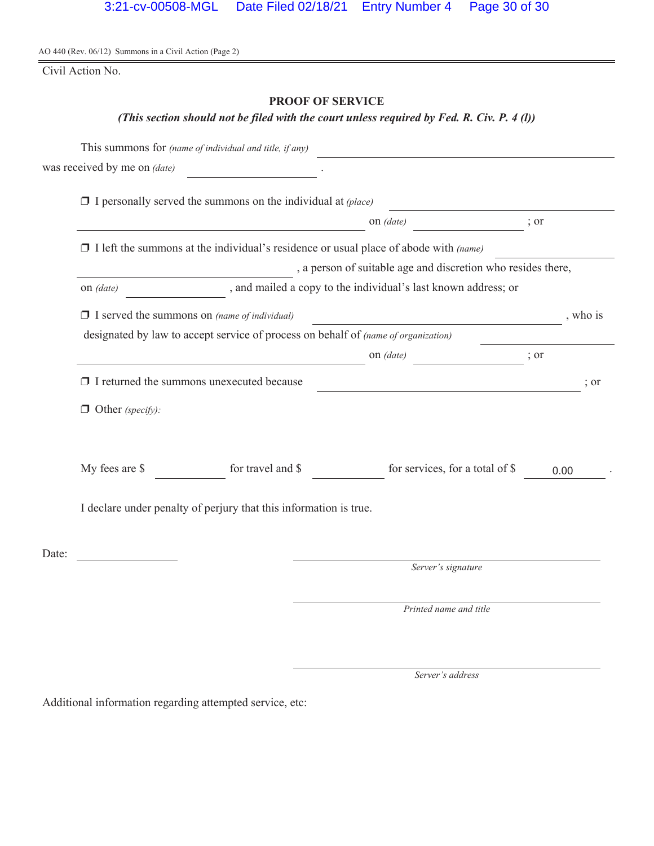Civil Action No.

# **PROOF OF SERVICE**

# *(This section should not be filed with the court unless required by Fed. R. Civ. P. 4 (l))*

|                                                              |                                                                                    | This summons for (name of individual and title, if any)             |                                                                                             |          |  |  |
|--------------------------------------------------------------|------------------------------------------------------------------------------------|---------------------------------------------------------------------|---------------------------------------------------------------------------------------------|----------|--|--|
|                                                              | was received by me on (date)                                                       |                                                                     |                                                                                             |          |  |  |
|                                                              |                                                                                    | $\Box$ I personally served the summons on the individual at (place) |                                                                                             |          |  |  |
|                                                              |                                                                                    |                                                                     | on <i>(date)</i>                                                                            | ; or     |  |  |
|                                                              |                                                                                    |                                                                     | $\Box$ I left the summons at the individual's residence or usual place of abode with (name) |          |  |  |
| , a person of suitable age and discretion who resides there, |                                                                                    |                                                                     |                                                                                             |          |  |  |
|                                                              | on <i>(date)</i>                                                                   |                                                                     | , and mailed a copy to the individual's last known address; or                              |          |  |  |
|                                                              |                                                                                    | $\Box$ I served the summons on (name of individual)                 | <u> 1980 - Johann Barbara, martxa alemaniar a</u>                                           | , who is |  |  |
|                                                              | designated by law to accept service of process on behalf of (name of organization) |                                                                     |                                                                                             |          |  |  |
|                                                              |                                                                                    |                                                                     | on (date)<br>$\overline{\phantom{a}}$ ; or                                                  |          |  |  |
|                                                              |                                                                                    | $\Box$ I returned the summons unexecuted because                    | <u> 1980 - Johann Barnett, fransk politiker (d. 1980)</u>                                   | ; or     |  |  |
|                                                              | $\Box$ Other (specify):                                                            |                                                                     |                                                                                             |          |  |  |
|                                                              | My fees are \$                                                                     | for travel and \$                                                   | for services, for a total of \$                                                             | 0.00     |  |  |
|                                                              | I declare under penalty of perjury that this information is true.                  |                                                                     |                                                                                             |          |  |  |
| Date:                                                        |                                                                                    |                                                                     |                                                                                             |          |  |  |
|                                                              |                                                                                    |                                                                     | Server's signature                                                                          |          |  |  |
|                                                              |                                                                                    |                                                                     | Printed name and title                                                                      |          |  |  |

*Server's address*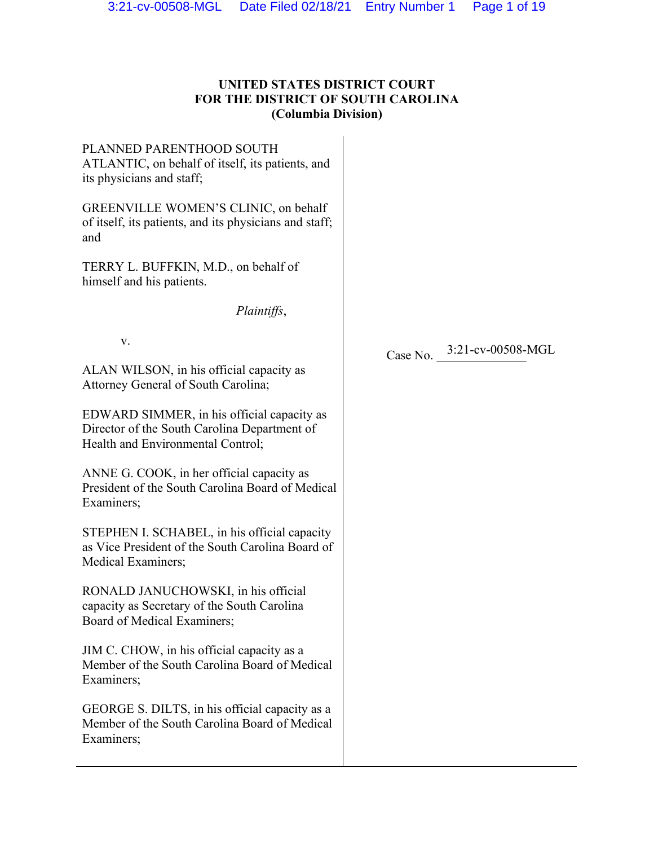# **UNITED STATES DISTRICT COURT FOR THE DISTRICT OF SOUTH CAROLINA (Columbia Division)**

PLANNED PARENTHOOD SOUTH ATLANTIC, on behalf of itself, its patients, and its physicians and staff;

GREENVILLE WOMEN'S CLINIC, on behalf of itself, its patients, and its physicians and staff; and

TERRY L. BUFFKIN, M.D., on behalf of himself and his patients.

*Plaintiffs*,

v.

ALAN WILSON, in his official capacity as Attorney General of South Carolina;

EDWARD SIMMER, in his official capacity as Director of the South Carolina Department of Health and Environmental Control;

ANNE G. COOK, in her official capacity as President of the South Carolina Board of Medical Examiners;

STEPHEN I. SCHABEL, in his official capacity as Vice President of the South Carolina Board of Medical Examiners;

RONALD JANUCHOWSKI, in his official capacity as Secretary of the South Carolina Board of Medical Examiners;

JIM C. CHOW, in his official capacity as a Member of the South Carolina Board of Medical Examiners;

GEORGE S. DILTS, in his official capacity as a Member of the South Carolina Board of Medical Examiners;

Case No.  $3:21$ -cv-00508-MGL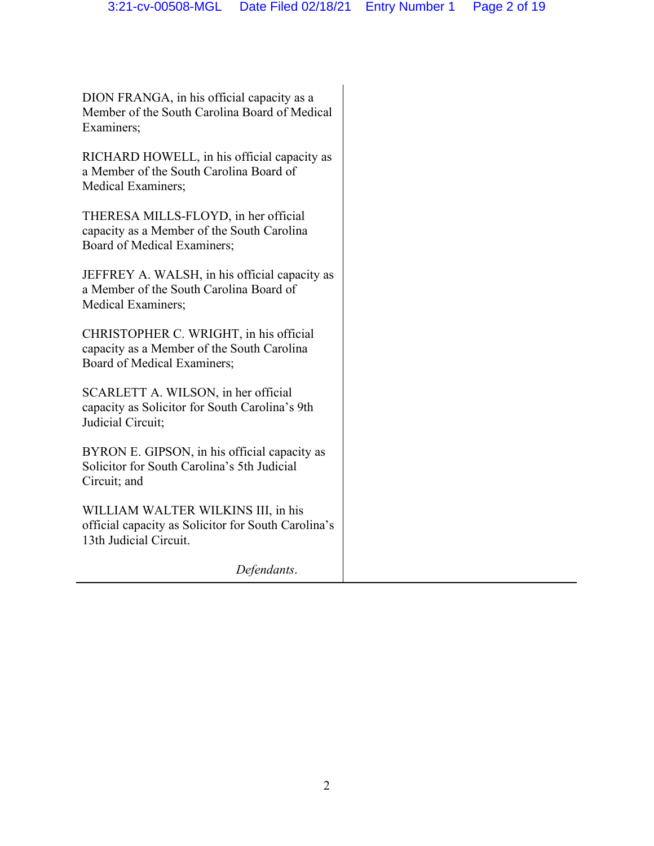DION FRANGA, in his official capacity as a Member of the South Carolina Board of Medical Examiners;

RICHARD HOWELL, in his official capacity as a Member of the South Carolina Board of Medical Examiners;

THERESA MILLS-FLOYD, in her official capacity as a Member of the South Carolina Board of Medical Examiners;

JEFFREY A. WALSH, in his official capacity as a Member of the South Carolina Board of Medical Examiners;

CHRISTOPHER C. WRIGHT, in his official capacity as a Member of the South Carolina Board of Medical Examiners;

SCARLETT A. WILSON, in her official capacity as Solicitor for South Carolina's 9th Judicial Circuit;

BYRON E. GIPSON, in his official capacity as Solicitor for South Carolina's 5th Judicial Circuit; and

WILLIAM WALTER WILKINS III, in his official capacity as Solicitor for South Carolina's 13th Judicial Circuit.

*Defendants*.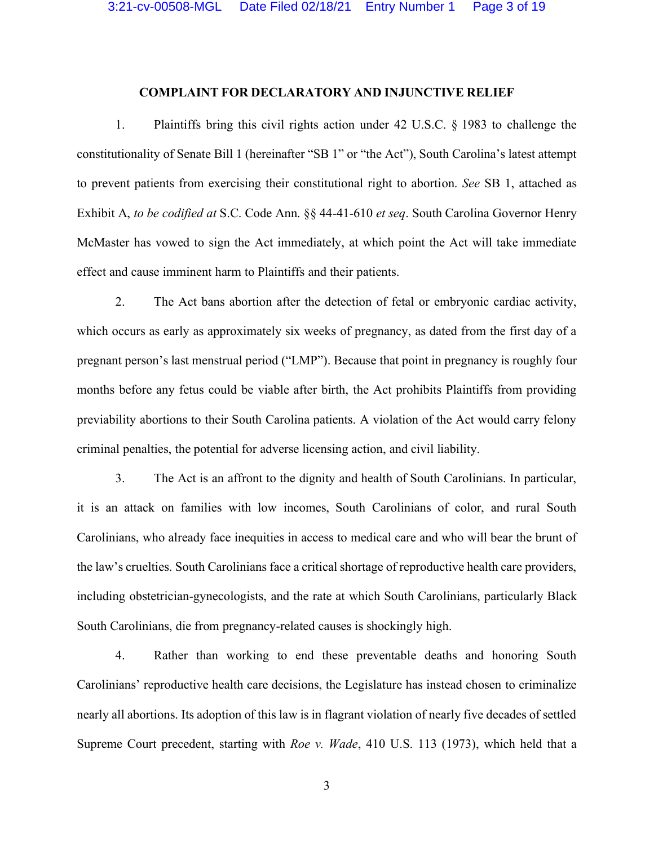#### **COMPLAINT FOR DECLARATORY AND INJUNCTIVE RELIEF**

1. Plaintiffs bring this civil rights action under 42 U.S.C. § 1983 to challenge the constitutionality of Senate Bill 1 (hereinafter "SB 1" or "the Act"), South Carolina's latest attempt to prevent patients from exercising their constitutional right to abortion. *See* SB 1, attached as Exhibit A, *to be codified at* S.C. Code Ann. §§ 44-41-610 *et seq*. South Carolina Governor Henry McMaster has vowed to sign the Act immediately, at which point the Act will take immediate effect and cause imminent harm to Plaintiffs and their patients.

2. The Act bans abortion after the detection of fetal or embryonic cardiac activity, which occurs as early as approximately six weeks of pregnancy, as dated from the first day of a pregnant person's last menstrual period ("LMP"). Because that point in pregnancy is roughly four months before any fetus could be viable after birth, the Act prohibits Plaintiffs from providing previability abortions to their South Carolina patients. A violation of the Act would carry felony criminal penalties, the potential for adverse licensing action, and civil liability.

3. The Act is an affront to the dignity and health of South Carolinians. In particular, it is an attack on families with low incomes, South Carolinians of color, and rural South Carolinians, who already face inequities in access to medical care and who will bear the brunt of the law's cruelties. South Carolinians face a critical shortage of reproductive health care providers, including obstetrician-gynecologists, and the rate at which South Carolinians, particularly Black South Carolinians, die from pregnancy-related causes is shockingly high.

4. Rather than working to end these preventable deaths and honoring South Carolinians' reproductive health care decisions, the Legislature has instead chosen to criminalize nearly all abortions. Its adoption of this law is in flagrant violation of nearly five decades of settled Supreme Court precedent, starting with *Roe v. Wade*, 410 U.S. 113 (1973), which held that a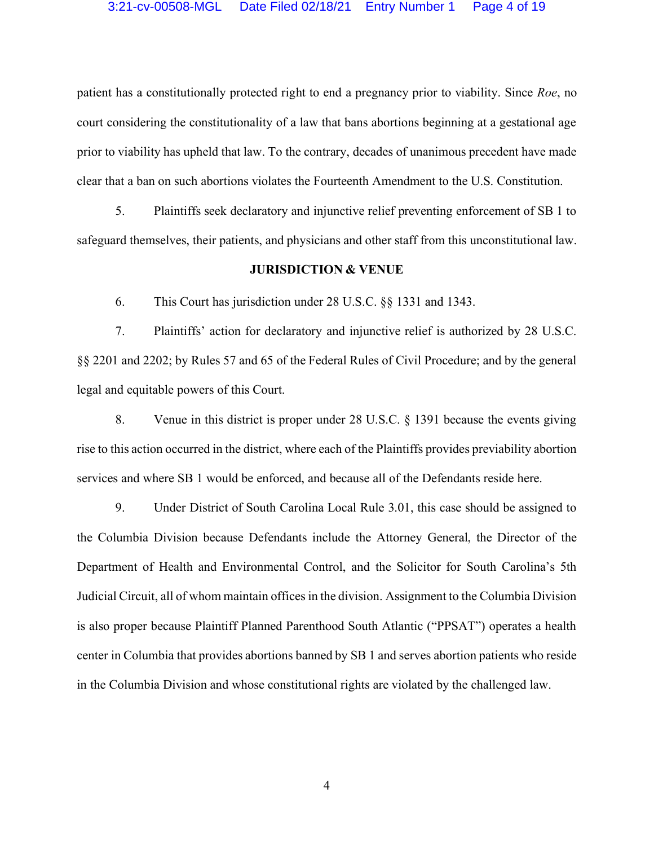patient has a constitutionally protected right to end a pregnancy prior to viability. Since *Roe*, no court considering the constitutionality of a law that bans abortions beginning at a gestational age prior to viability has upheld that law. To the contrary, decades of unanimous precedent have made clear that a ban on such abortions violates the Fourteenth Amendment to the U.S. Constitution.

5. Plaintiffs seek declaratory and injunctive relief preventing enforcement of SB 1 to safeguard themselves, their patients, and physicians and other staff from this unconstitutional law.

#### **JURISDICTION & VENUE**

6. This Court has jurisdiction under 28 U.S.C. §§ 1331 and 1343.

7. Plaintiffs' action for declaratory and injunctive relief is authorized by 28 U.S.C. §§ 2201 and 2202; by Rules 57 and 65 of the Federal Rules of Civil Procedure; and by the general legal and equitable powers of this Court.

8. Venue in this district is proper under 28 U.S.C. § 1391 because the events giving rise to this action occurred in the district, where each of the Plaintiffs provides previability abortion services and where SB 1 would be enforced, and because all of the Defendants reside here.

9. Under District of South Carolina Local Rule 3.01, this case should be assigned to the Columbia Division because Defendants include the Attorney General, the Director of the Department of Health and Environmental Control, and the Solicitor for South Carolina's 5th Judicial Circuit, all of whom maintain offices in the division. Assignment to the Columbia Division is also proper because Plaintiff Planned Parenthood South Atlantic ("PPSAT") operates a health center in Columbia that provides abortions banned by SB 1 and serves abortion patients who reside in the Columbia Division and whose constitutional rights are violated by the challenged law.

4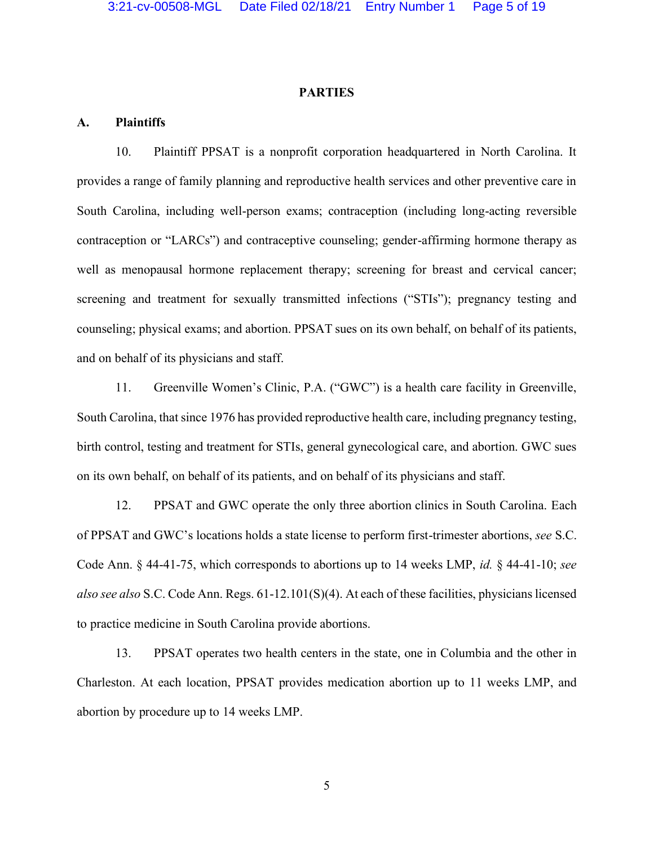#### **PARTIES**

#### **A. Plaintiffs**

10. Plaintiff PPSAT is a nonprofit corporation headquartered in North Carolina. It provides a range of family planning and reproductive health services and other preventive care in South Carolina, including well-person exams; contraception (including long-acting reversible contraception or "LARCs") and contraceptive counseling; gender-affirming hormone therapy as well as menopausal hormone replacement therapy; screening for breast and cervical cancer; screening and treatment for sexually transmitted infections ("STIs"); pregnancy testing and counseling; physical exams; and abortion. PPSAT sues on its own behalf, on behalf of its patients, and on behalf of its physicians and staff.

11. Greenville Women's Clinic, P.A. ("GWC") is a health care facility in Greenville, South Carolina, that since 1976 has provided reproductive health care, including pregnancy testing, birth control, testing and treatment for STIs, general gynecological care, and abortion. GWC sues on its own behalf, on behalf of its patients, and on behalf of its physicians and staff.

12. PPSAT and GWC operate the only three abortion clinics in South Carolina. Each of PPSAT and GWC's locations holds a state license to perform first-trimester abortions, *see* S.C. Code Ann. § 44-41-75, which corresponds to abortions up to 14 weeks LMP, *id.* § 44-41-10; *see also see also* S.C. Code Ann. Regs. 61-12.101(S)(4). At each of these facilities, physicians licensed to practice medicine in South Carolina provide abortions.

13. PPSAT operates two health centers in the state, one in Columbia and the other in Charleston. At each location, PPSAT provides medication abortion up to 11 weeks LMP, and abortion by procedure up to 14 weeks LMP.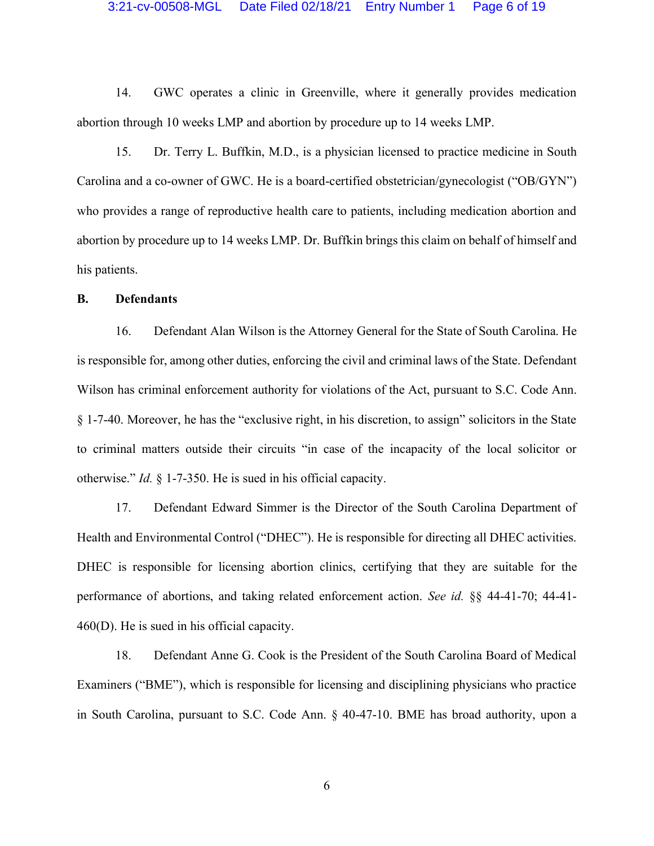#### 3:21-cv-00508-MGL Date Filed 02/18/21 Entry Number 1 Page 6 of 19

14. GWC operates a clinic in Greenville, where it generally provides medication abortion through 10 weeks LMP and abortion by procedure up to 14 weeks LMP.

15. Dr. Terry L. Buffkin, M.D., is a physician licensed to practice medicine in South Carolina and a co-owner of GWC. He is a board-certified obstetrician/gynecologist ("OB/GYN") who provides a range of reproductive health care to patients, including medication abortion and abortion by procedure up to 14 weeks LMP. Dr. Buffkin brings this claim on behalf of himself and his patients.

#### **B. Defendants**

16. Defendant Alan Wilson is the Attorney General for the State of South Carolina. He is responsible for, among other duties, enforcing the civil and criminal laws of the State. Defendant Wilson has criminal enforcement authority for violations of the Act, pursuant to S.C. Code Ann. § 1-7-40. Moreover, he has the "exclusive right, in his discretion, to assign" solicitors in the State to criminal matters outside their circuits "in case of the incapacity of the local solicitor or otherwise." *Id.* § 1-7-350. He is sued in his official capacity.

17. Defendant Edward Simmer is the Director of the South Carolina Department of Health and Environmental Control ("DHEC"). He is responsible for directing all DHEC activities. DHEC is responsible for licensing abortion clinics, certifying that they are suitable for the performance of abortions, and taking related enforcement action. *See id.* §§ 44-41-70; 44-41- 460(D). He is sued in his official capacity.

18. Defendant Anne G. Cook is the President of the South Carolina Board of Medical Examiners ("BME"), which is responsible for licensing and disciplining physicians who practice in South Carolina, pursuant to S.C. Code Ann. § 40-47-10. BME has broad authority, upon a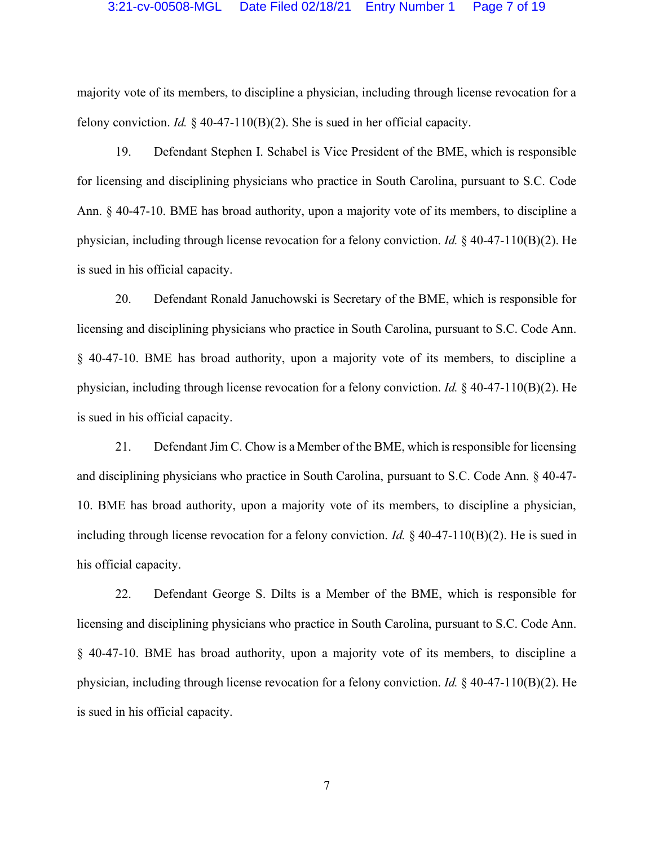majority vote of its members, to discipline a physician, including through license revocation for a felony conviction. *Id.* § 40-47-110(B)(2). She is sued in her official capacity.

19. Defendant Stephen I. Schabel is Vice President of the BME, which is responsible for licensing and disciplining physicians who practice in South Carolina, pursuant to S.C. Code Ann. § 40-47-10. BME has broad authority, upon a majority vote of its members, to discipline a physician, including through license revocation for a felony conviction. *Id.* § 40-47-110(B)(2). He is sued in his official capacity.

20. Defendant Ronald Januchowski is Secretary of the BME, which is responsible for licensing and disciplining physicians who practice in South Carolina, pursuant to S.C. Code Ann. § 40-47-10. BME has broad authority, upon a majority vote of its members, to discipline a physician, including through license revocation for a felony conviction. *Id.* § 40-47-110(B)(2). He is sued in his official capacity.

21. Defendant Jim C. Chow is a Member of the BME, which is responsible for licensing and disciplining physicians who practice in South Carolina, pursuant to S.C. Code Ann. § 40-47- 10. BME has broad authority, upon a majority vote of its members, to discipline a physician, including through license revocation for a felony conviction. *Id.* § 40-47-110(B)(2). He is sued in his official capacity.

22. Defendant George S. Dilts is a Member of the BME, which is responsible for licensing and disciplining physicians who practice in South Carolina, pursuant to S.C. Code Ann. § 40-47-10. BME has broad authority, upon a majority vote of its members, to discipline a physician, including through license revocation for a felony conviction. *Id.* § 40-47-110(B)(2). He is sued in his official capacity.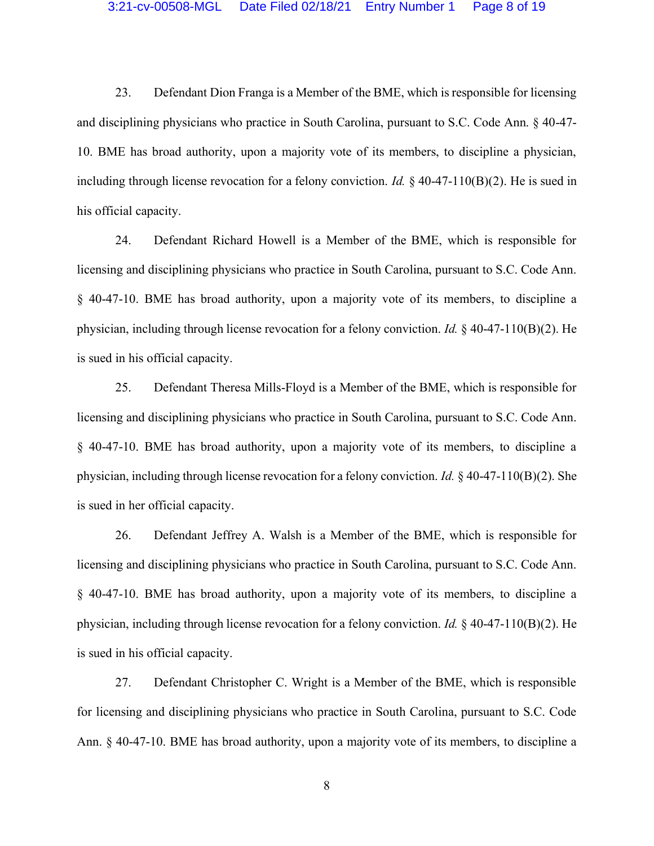23. Defendant Dion Franga is a Member of the BME, which is responsible for licensing and disciplining physicians who practice in South Carolina, pursuant to S.C. Code Ann. § 40-47- 10. BME has broad authority, upon a majority vote of its members, to discipline a physician, including through license revocation for a felony conviction. *Id.* § 40-47-110(B)(2). He is sued in his official capacity.

24. Defendant Richard Howell is a Member of the BME, which is responsible for licensing and disciplining physicians who practice in South Carolina, pursuant to S.C. Code Ann. § 40-47-10. BME has broad authority, upon a majority vote of its members, to discipline a physician, including through license revocation for a felony conviction. *Id.* § 40-47-110(B)(2). He is sued in his official capacity.

25. Defendant Theresa Mills-Floyd is a Member of the BME, which is responsible for licensing and disciplining physicians who practice in South Carolina, pursuant to S.C. Code Ann. § 40-47-10. BME has broad authority, upon a majority vote of its members, to discipline a physician, including through license revocation for a felony conviction. *Id.* § 40-47-110(B)(2). She is sued in her official capacity.

26. Defendant Jeffrey A. Walsh is a Member of the BME, which is responsible for licensing and disciplining physicians who practice in South Carolina, pursuant to S.C. Code Ann. § 40-47-10. BME has broad authority, upon a majority vote of its members, to discipline a physician, including through license revocation for a felony conviction. *Id.* § 40-47-110(B)(2). He is sued in his official capacity.

27. Defendant Christopher C. Wright is a Member of the BME, which is responsible for licensing and disciplining physicians who practice in South Carolina, pursuant to S.C. Code Ann. § 40-47-10. BME has broad authority, upon a majority vote of its members, to discipline a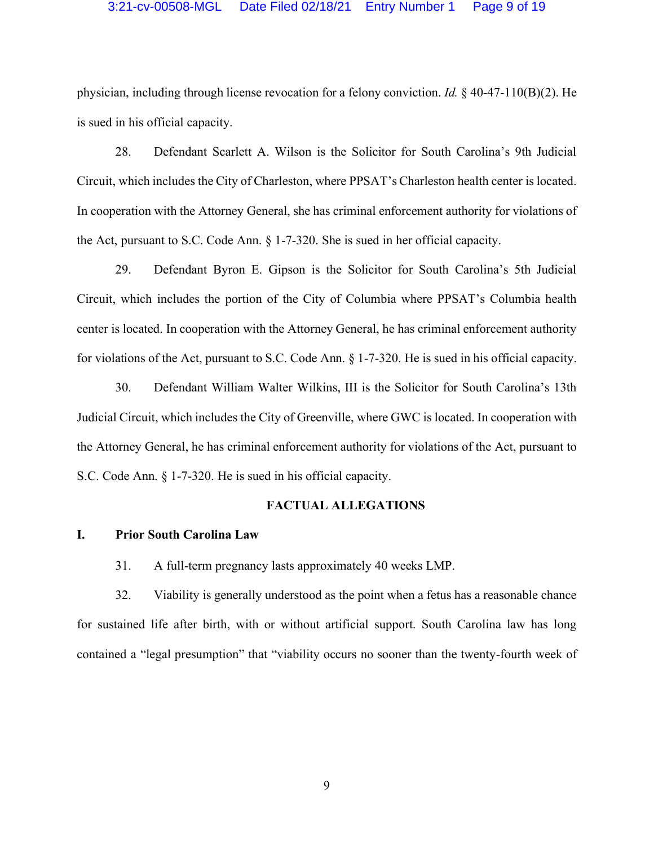#### 3:21-cv-00508-MGL Date Filed 02/18/21 Entry Number 1 Page 9 of 19

physician, including through license revocation for a felony conviction. *Id.* § 40-47-110(B)(2). He is sued in his official capacity.

28. Defendant Scarlett A. Wilson is the Solicitor for South Carolina's 9th Judicial Circuit, which includes the City of Charleston, where PPSAT's Charleston health center is located. In cooperation with the Attorney General, she has criminal enforcement authority for violations of the Act, pursuant to S.C. Code Ann. § 1-7-320. She is sued in her official capacity.

29. Defendant Byron E. Gipson is the Solicitor for South Carolina's 5th Judicial Circuit, which includes the portion of the City of Columbia where PPSAT's Columbia health center is located. In cooperation with the Attorney General, he has criminal enforcement authority for violations of the Act, pursuant to S.C. Code Ann. § 1-7-320. He is sued in his official capacity.

30. Defendant William Walter Wilkins, III is the Solicitor for South Carolina's 13th Judicial Circuit, which includes the City of Greenville, where GWC is located. In cooperation with the Attorney General, he has criminal enforcement authority for violations of the Act, pursuant to S.C. Code Ann. § 1-7-320. He is sued in his official capacity.

#### **FACTUAL ALLEGATIONS**

#### **I. Prior South Carolina Law**

31. A full-term pregnancy lasts approximately 40 weeks LMP.

32. Viability is generally understood as the point when a fetus has a reasonable chance for sustained life after birth, with or without artificial support. South Carolina law has long contained a "legal presumption" that "viability occurs no sooner than the twenty-fourth week of

9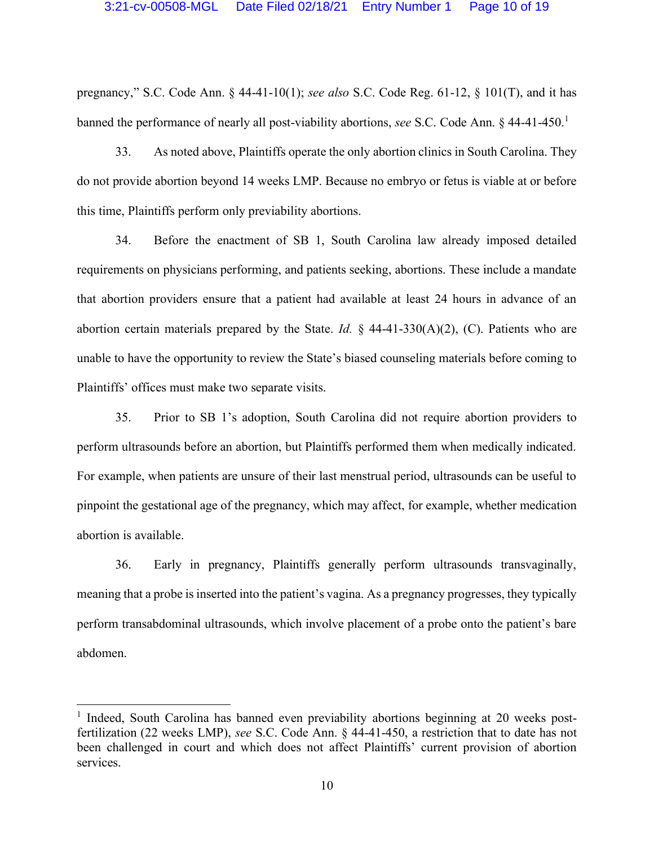pregnancy," S.C. Code Ann. § 44-41-10(1); *see also* S.C. Code Reg. 61-12, § 101(T), and it has banned the performance of nearly all post-viability abortions, *see* S.C. Code Ann. § 44-41-450.<sup>1</sup>

33. As noted above, Plaintiffs operate the only abortion clinics in South Carolina. They do not provide abortion beyond 14 weeks LMP. Because no embryo or fetus is viable at or before this time, Plaintiffs perform only previability abortions.

34. Before the enactment of SB 1, South Carolina law already imposed detailed requirements on physicians performing, and patients seeking, abortions. These include a mandate that abortion providers ensure that a patient had available at least 24 hours in advance of an abortion certain materials prepared by the State. *Id.* § 44-41-330(A)(2), (C). Patients who are unable to have the opportunity to review the State's biased counseling materials before coming to Plaintiffs' offices must make two separate visits.

35. Prior to SB 1's adoption, South Carolina did not require abortion providers to perform ultrasounds before an abortion, but Plaintiffs performed them when medically indicated. For example, when patients are unsure of their last menstrual period, ultrasounds can be useful to pinpoint the gestational age of the pregnancy, which may affect, for example, whether medication abortion is available.

36. Early in pregnancy, Plaintiffs generally perform ultrasounds transvaginally, meaning that a probe is inserted into the patient's vagina. As a pregnancy progresses, they typically perform transabdominal ultrasounds, which involve placement of a probe onto the patient's bare abdomen.

<sup>&</sup>lt;sup>1</sup> Indeed, South Carolina has banned even previability abortions beginning at 20 weeks postfertilization (22 weeks LMP), *see* S.C. Code Ann. § 44-41-450, a restriction that to date has not been challenged in court and which does not affect Plaintiffs' current provision of abortion services.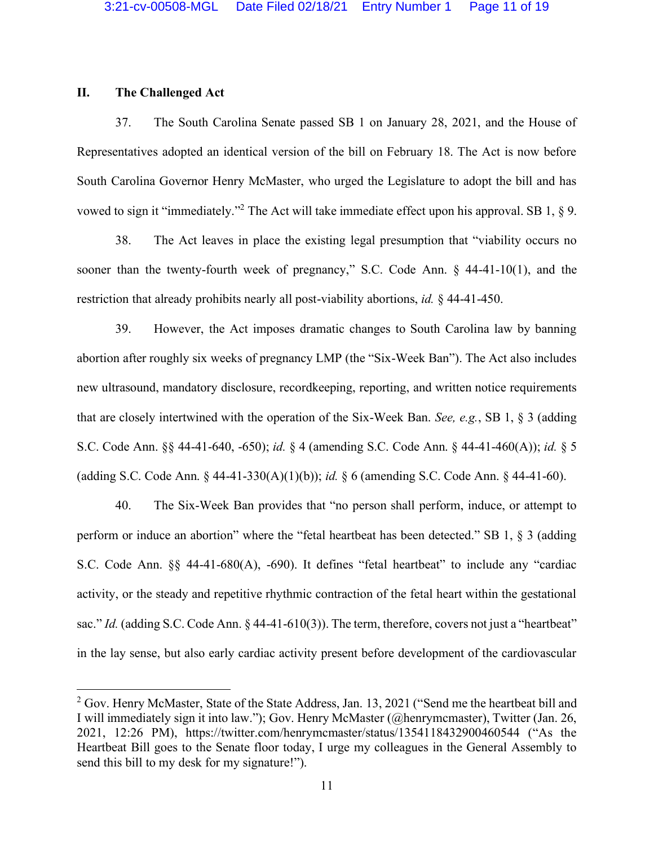#### **II. The Challenged Act**

37. The South Carolina Senate passed SB 1 on January 28, 2021, and the House of Representatives adopted an identical version of the bill on February 18. The Act is now before South Carolina Governor Henry McMaster, who urged the Legislature to adopt the bill and has vowed to sign it "immediately."<sup>2</sup> The Act will take immediate effect upon his approval. SB 1, § 9.

38. The Act leaves in place the existing legal presumption that "viability occurs no sooner than the twenty-fourth week of pregnancy," S.C. Code Ann. § 44-41-10(1), and the restriction that already prohibits nearly all post-viability abortions, *id.* § 44-41-450.

39. However, the Act imposes dramatic changes to South Carolina law by banning abortion after roughly six weeks of pregnancy LMP (the "Six-Week Ban"). The Act also includes new ultrasound, mandatory disclosure, recordkeeping, reporting, and written notice requirements that are closely intertwined with the operation of the Six-Week Ban. *See, e.g.*, SB 1, § 3 (adding S.C. Code Ann. §§ 44-41-640, -650); *id.* § 4 (amending S.C. Code Ann. § 44-41-460(A)); *id.* § 5 (adding S.C. Code Ann. § 44-41-330(A)(1)(b)); *id.* § 6 (amending S.C. Code Ann. § 44-41-60).

40. The Six-Week Ban provides that "no person shall perform, induce, or attempt to perform or induce an abortion" where the "fetal heartbeat has been detected." SB 1, § 3 (adding S.C. Code Ann. §§ 44-41-680(A), -690). It defines "fetal heartbeat" to include any "cardiac activity, or the steady and repetitive rhythmic contraction of the fetal heart within the gestational sac." *Id.* (adding S.C. Code Ann. § 44-41-610(3)). The term, therefore, covers not just a "heartbeat" in the lay sense, but also early cardiac activity present before development of the cardiovascular

 $2$  Gov. Henry McMaster, State of the State Address, Jan. 13, 2021 ("Send me the heartbeat bill and I will immediately sign it into law."); Gov. Henry McMaster (@henrymcmaster), Twitter (Jan. 26, 2021, 12:26 PM), https://twitter.com/henrymcmaster/status/1354118432900460544 ("As the Heartbeat Bill goes to the Senate floor today, I urge my colleagues in the General Assembly to send this bill to my desk for my signature!").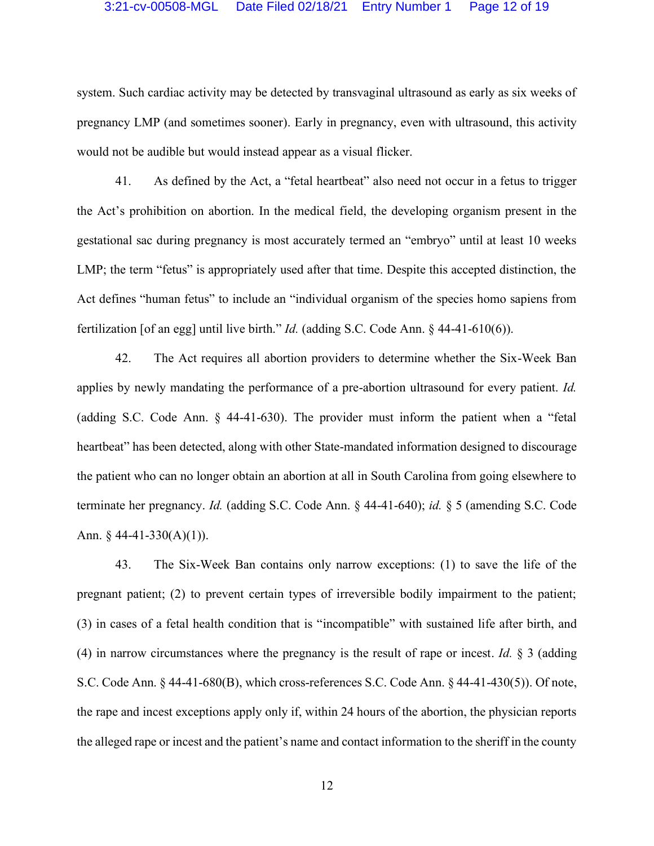system. Such cardiac activity may be detected by transvaginal ultrasound as early as six weeks of pregnancy LMP (and sometimes sooner). Early in pregnancy, even with ultrasound, this activity would not be audible but would instead appear as a visual flicker.

41. As defined by the Act, a "fetal heartbeat" also need not occur in a fetus to trigger the Act's prohibition on abortion. In the medical field, the developing organism present in the gestational sac during pregnancy is most accurately termed an "embryo" until at least 10 weeks LMP; the term "fetus" is appropriately used after that time. Despite this accepted distinction, the Act defines "human fetus" to include an "individual organism of the species homo sapiens from fertilization [of an egg] until live birth." *Id.* (adding S.C. Code Ann. § 44-41-610(6)).

42. The Act requires all abortion providers to determine whether the Six-Week Ban applies by newly mandating the performance of a pre-abortion ultrasound for every patient. *Id.* (adding S.C. Code Ann. § 44-41-630). The provider must inform the patient when a "fetal heartbeat" has been detected, along with other State-mandated information designed to discourage the patient who can no longer obtain an abortion at all in South Carolina from going elsewhere to terminate her pregnancy. *Id.* (adding S.C. Code Ann. § 44-41-640); *id.* § 5 (amending S.C. Code Ann.  $§$  44-41-330(A)(1)).

43. The Six-Week Ban contains only narrow exceptions: (1) to save the life of the pregnant patient; (2) to prevent certain types of irreversible bodily impairment to the patient; (3) in cases of a fetal health condition that is "incompatible" with sustained life after birth, and (4) in narrow circumstances where the pregnancy is the result of rape or incest. *Id.* § 3 (adding S.C. Code Ann. § 44-41-680(B), which cross-references S.C. Code Ann. § 44-41-430(5)). Of note, the rape and incest exceptions apply only if, within 24 hours of the abortion, the physician reports the alleged rape or incest and the patient's name and contact information to the sheriff in the county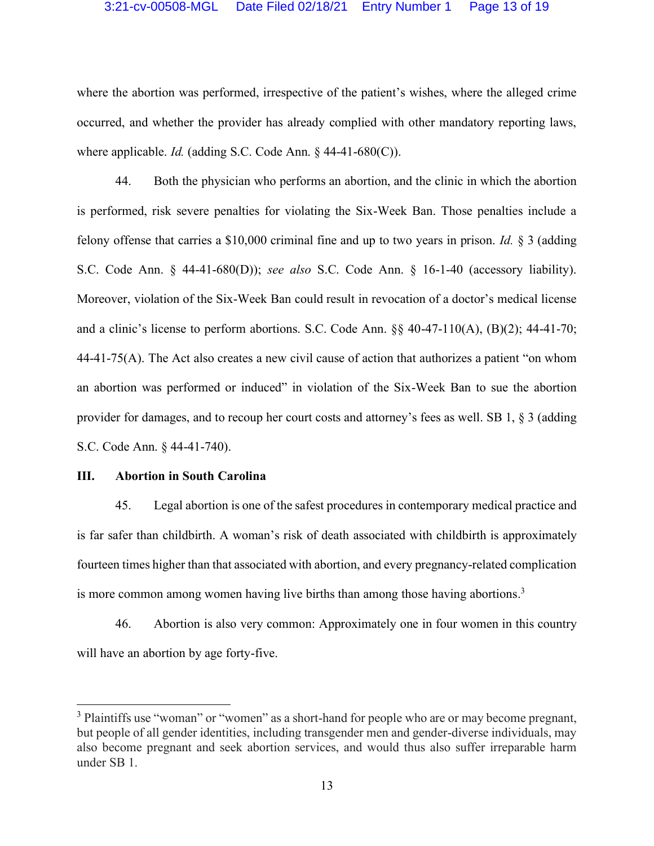where the abortion was performed, irrespective of the patient's wishes, where the alleged crime occurred, and whether the provider has already complied with other mandatory reporting laws, where applicable. *Id.* (adding S.C. Code Ann. § 44-41-680(C)).

44. Both the physician who performs an abortion, and the clinic in which the abortion is performed, risk severe penalties for violating the Six-Week Ban. Those penalties include a felony offense that carries a \$10,000 criminal fine and up to two years in prison. *Id.* § 3 (adding S.C. Code Ann. § 44-41-680(D)); *see also* S.C. Code Ann. § 16-1-40 (accessory liability). Moreover, violation of the Six-Week Ban could result in revocation of a doctor's medical license and a clinic's license to perform abortions. S.C. Code Ann. §§ 40-47-110(A), (B)(2); 44-41-70; 44-41-75(A). The Act also creates a new civil cause of action that authorizes a patient "on whom an abortion was performed or induced" in violation of the Six-Week Ban to sue the abortion provider for damages, and to recoup her court costs and attorney's fees as well. SB 1, § 3 (adding S.C. Code Ann. § 44-41-740).

## **III. Abortion in South Carolina**

45. Legal abortion is one of the safest procedures in contemporary medical practice and is far safer than childbirth. A woman's risk of death associated with childbirth is approximately fourteen times higher than that associated with abortion, and every pregnancy-related complication is more common among women having live births than among those having abortions.<sup>3</sup>

46. Abortion is also very common: Approximately one in four women in this country will have an abortion by age forty-five.

<sup>&</sup>lt;sup>3</sup> Plaintiffs use "woman" or "women" as a short-hand for people who are or may become pregnant, but people of all gender identities, including transgender men and gender-diverse individuals, may also become pregnant and seek abortion services, and would thus also suffer irreparable harm under SB 1.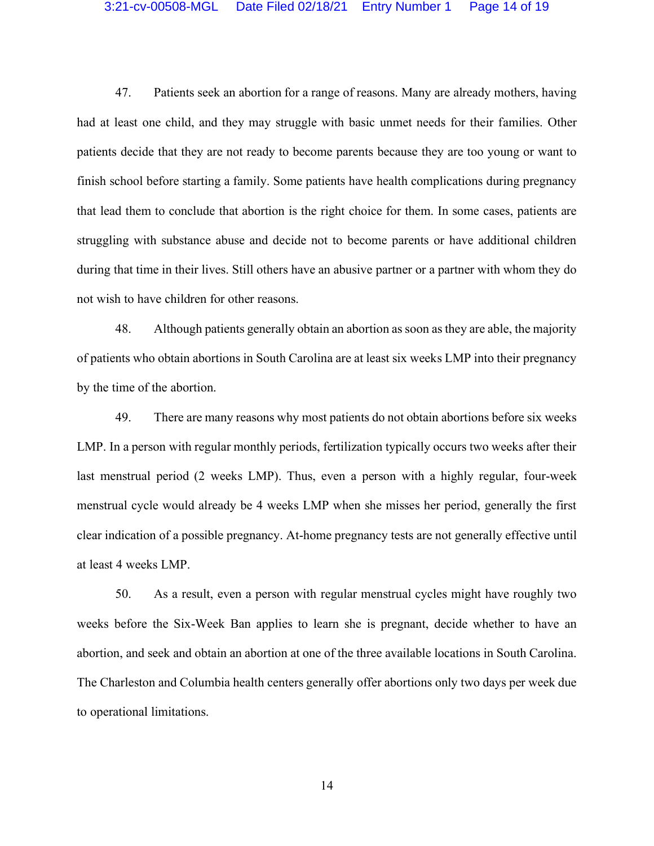#### 3:21-cv-00508-MGL Date Filed 02/18/21 Entry Number 1 Page 14 of 19

47. Patients seek an abortion for a range of reasons. Many are already mothers, having had at least one child, and they may struggle with basic unmet needs for their families. Other patients decide that they are not ready to become parents because they are too young or want to finish school before starting a family. Some patients have health complications during pregnancy that lead them to conclude that abortion is the right choice for them. In some cases, patients are struggling with substance abuse and decide not to become parents or have additional children during that time in their lives. Still others have an abusive partner or a partner with whom they do not wish to have children for other reasons.

48. Although patients generally obtain an abortion as soon as they are able, the majority of patients who obtain abortions in South Carolina are at least six weeks LMP into their pregnancy by the time of the abortion.

49. There are many reasons why most patients do not obtain abortions before six weeks LMP. In a person with regular monthly periods, fertilization typically occurs two weeks after their last menstrual period (2 weeks LMP). Thus, even a person with a highly regular, four-week menstrual cycle would already be 4 weeks LMP when she misses her period, generally the first clear indication of a possible pregnancy. At-home pregnancy tests are not generally effective until at least 4 weeks LMP.

50. As a result, even a person with regular menstrual cycles might have roughly two weeks before the Six-Week Ban applies to learn she is pregnant, decide whether to have an abortion, and seek and obtain an abortion at one of the three available locations in South Carolina. The Charleston and Columbia health centers generally offer abortions only two days per week due to operational limitations.

14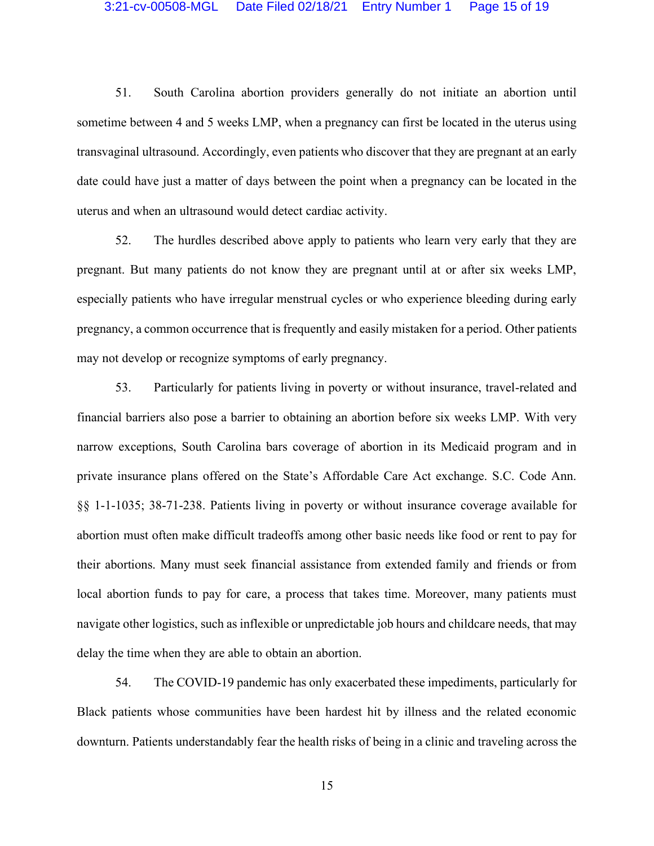51. South Carolina abortion providers generally do not initiate an abortion until sometime between 4 and 5 weeks LMP, when a pregnancy can first be located in the uterus using transvaginal ultrasound. Accordingly, even patients who discover that they are pregnant at an early date could have just a matter of days between the point when a pregnancy can be located in the uterus and when an ultrasound would detect cardiac activity.

52. The hurdles described above apply to patients who learn very early that they are pregnant. But many patients do not know they are pregnant until at or after six weeks LMP, especially patients who have irregular menstrual cycles or who experience bleeding during early pregnancy, a common occurrence that is frequently and easily mistaken for a period. Other patients may not develop or recognize symptoms of early pregnancy.

53. Particularly for patients living in poverty or without insurance, travel-related and financial barriers also pose a barrier to obtaining an abortion before six weeks LMP. With very narrow exceptions, South Carolina bars coverage of abortion in its Medicaid program and in private insurance plans offered on the State's Affordable Care Act exchange. S.C. Code Ann. §§ 1-1-1035; 38-71-238. Patients living in poverty or without insurance coverage available for abortion must often make difficult tradeoffs among other basic needs like food or rent to pay for their abortions. Many must seek financial assistance from extended family and friends or from local abortion funds to pay for care, a process that takes time. Moreover, many patients must navigate other logistics, such as inflexible or unpredictable job hours and childcare needs, that may delay the time when they are able to obtain an abortion.

54. The COVID-19 pandemic has only exacerbated these impediments, particularly for Black patients whose communities have been hardest hit by illness and the related economic downturn. Patients understandably fear the health risks of being in a clinic and traveling across the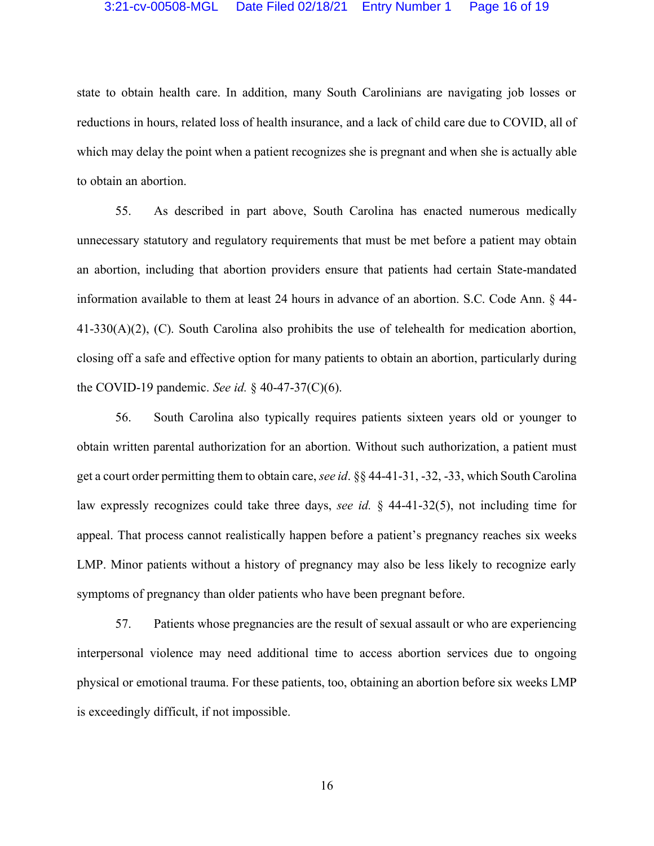#### 3:21-cv-00508-MGL Date Filed 02/18/21 Entry Number 1 Page 16 of 19

state to obtain health care. In addition, many South Carolinians are navigating job losses or reductions in hours, related loss of health insurance, and a lack of child care due to COVID, all of which may delay the point when a patient recognizes she is pregnant and when she is actually able to obtain an abortion.

55. As described in part above, South Carolina has enacted numerous medically unnecessary statutory and regulatory requirements that must be met before a patient may obtain an abortion, including that abortion providers ensure that patients had certain State-mandated information available to them at least 24 hours in advance of an abortion. S.C. Code Ann. § 44- 41-330(A)(2), (C). South Carolina also prohibits the use of telehealth for medication abortion, closing off a safe and effective option for many patients to obtain an abortion, particularly during the COVID-19 pandemic. *See id.* § 40-47-37(C)(6).

56. South Carolina also typically requires patients sixteen years old or younger to obtain written parental authorization for an abortion. Without such authorization, a patient must get a court order permitting them to obtain care, *see id*. §§ 44-41-31, -32, -33, which South Carolina law expressly recognizes could take three days, *see id.* § 44-41-32(5), not including time for appeal. That process cannot realistically happen before a patient's pregnancy reaches six weeks LMP. Minor patients without a history of pregnancy may also be less likely to recognize early symptoms of pregnancy than older patients who have been pregnant before.

57. Patients whose pregnancies are the result of sexual assault or who are experiencing interpersonal violence may need additional time to access abortion services due to ongoing physical or emotional trauma. For these patients, too, obtaining an abortion before six weeks LMP is exceedingly difficult, if not impossible.

16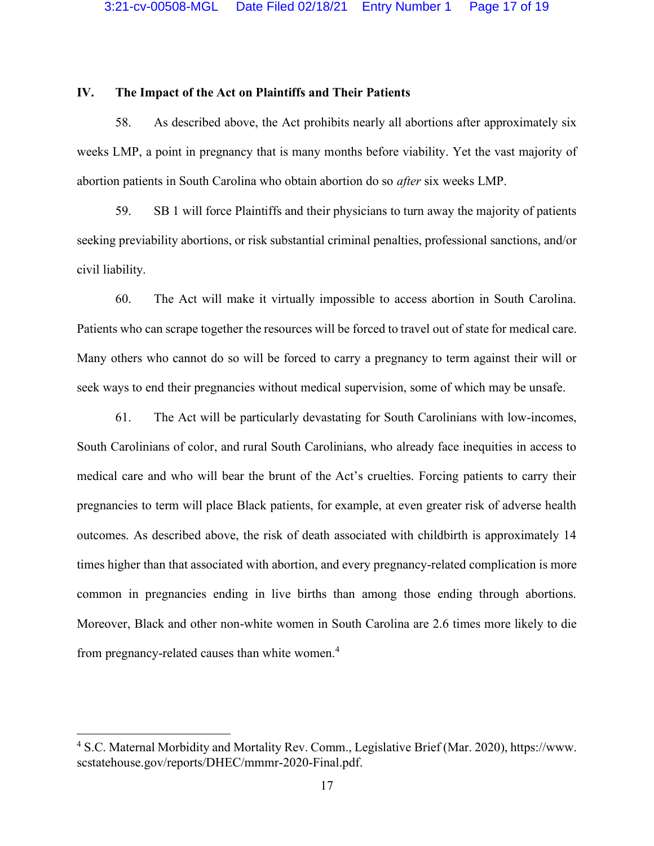#### **IV. The Impact of the Act on Plaintiffs and Their Patients**

58. As described above, the Act prohibits nearly all abortions after approximately six weeks LMP, a point in pregnancy that is many months before viability. Yet the vast majority of abortion patients in South Carolina who obtain abortion do so *after* six weeks LMP.

59. SB 1 will force Plaintiffs and their physicians to turn away the majority of patients seeking previability abortions, or risk substantial criminal penalties, professional sanctions, and/or civil liability.

60. The Act will make it virtually impossible to access abortion in South Carolina. Patients who can scrape together the resources will be forced to travel out of state for medical care. Many others who cannot do so will be forced to carry a pregnancy to term against their will or seek ways to end their pregnancies without medical supervision, some of which may be unsafe.

61. The Act will be particularly devastating for South Carolinians with low-incomes, South Carolinians of color, and rural South Carolinians, who already face inequities in access to medical care and who will bear the brunt of the Act's cruelties. Forcing patients to carry their pregnancies to term will place Black patients, for example, at even greater risk of adverse health outcomes. As described above, the risk of death associated with childbirth is approximately 14 times higher than that associated with abortion, and every pregnancy-related complication is more common in pregnancies ending in live births than among those ending through abortions. Moreover, Black and other non-white women in South Carolina are 2.6 times more likely to die from pregnancy-related causes than white women.<sup>4</sup>

<sup>4</sup> S.C. Maternal Morbidity and Mortality Rev. Comm., Legislative Brief (Mar. 2020), https://www. scstatehouse.gov/reports/DHEC/mmmr-2020-Final.pdf.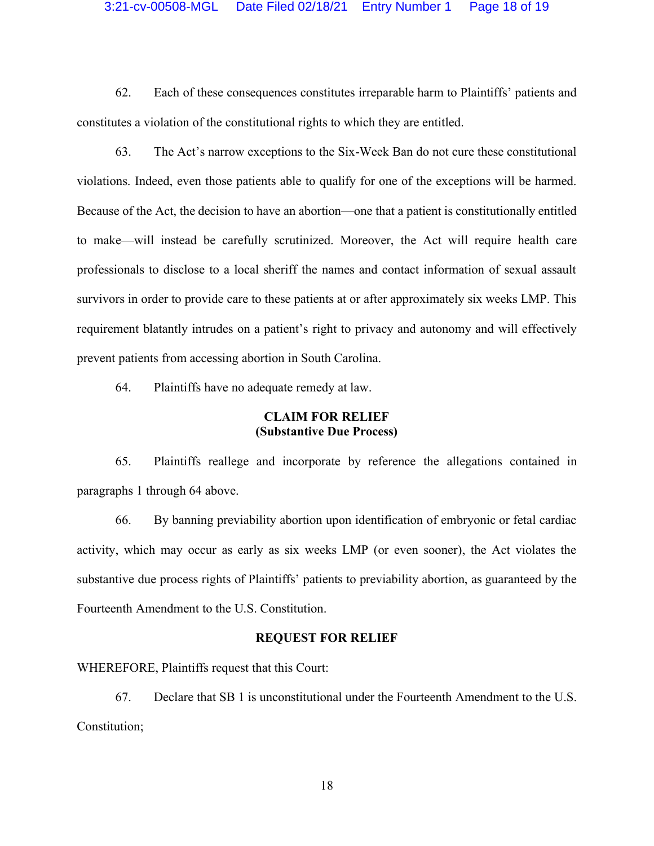#### 3:21-cv-00508-MGL Date Filed 02/18/21 Entry Number 1 Page 18 of 19

62. Each of these consequences constitutes irreparable harm to Plaintiffs' patients and constitutes a violation of the constitutional rights to which they are entitled.

63. The Act's narrow exceptions to the Six-Week Ban do not cure these constitutional violations. Indeed, even those patients able to qualify for one of the exceptions will be harmed. Because of the Act, the decision to have an abortion—one that a patient is constitutionally entitled to make—will instead be carefully scrutinized. Moreover, the Act will require health care professionals to disclose to a local sheriff the names and contact information of sexual assault survivors in order to provide care to these patients at or after approximately six weeks LMP. This requirement blatantly intrudes on a patient's right to privacy and autonomy and will effectively prevent patients from accessing abortion in South Carolina.

64. Plaintiffs have no adequate remedy at law.

#### **CLAIM FOR RELIEF (Substantive Due Process)**

65. Plaintiffs reallege and incorporate by reference the allegations contained in paragraphs 1 through 64 above.

66. By banning previability abortion upon identification of embryonic or fetal cardiac activity, which may occur as early as six weeks LMP (or even sooner), the Act violates the substantive due process rights of Plaintiffs' patients to previability abortion, as guaranteed by the Fourteenth Amendment to the U.S. Constitution.

#### **REQUEST FOR RELIEF**

WHEREFORE, Plaintiffs request that this Court:

67. Declare that SB 1 is unconstitutional under the Fourteenth Amendment to the U.S. Constitution;

18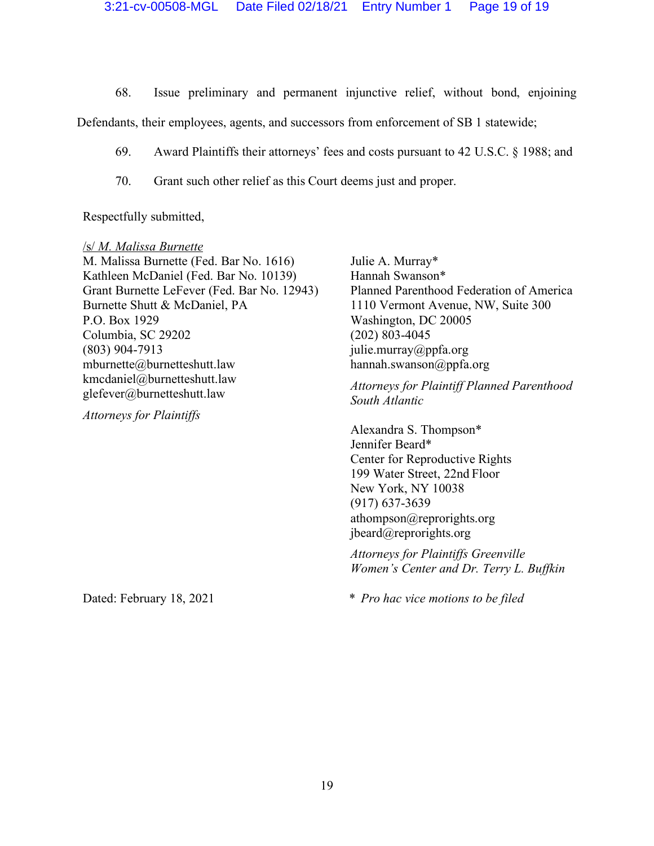68. Issue preliminary and permanent injunctive relief, without bond, enjoining

Defendants, their employees, agents, and successors from enforcement of SB 1 statewide;

- 69. Award Plaintiffs their attorneys' fees and costs pursuant to 42 U.S.C. § 1988; and
- 70. Grant such other relief as this Court deems just and proper.

Respectfully submitted,

/s/ *M. Malissa Burnette* M. Malissa Burnette (Fed. Bar No. 1616) Kathleen McDaniel (Fed. Bar No. 10139) Grant Burnette LeFever (Fed. Bar No. 12943) Burnette Shutt & McDaniel, PA P.O. Box 1929 Columbia, SC 29202 (803) 904-7913 mburnette@burnetteshutt.law kmcdaniel@burnetteshutt.law glefever@burnetteshutt.law

*Attorneys for Plaintiffs*

Julie A. Murray\* Hannah Swanson\* Planned Parenthood Federation of America 1110 Vermont Avenue, NW, Suite 300 Washington, DC 20005 (202) 803-4045 julie.murray@ppfa.org hannah.swanson@ppfa.org

*Attorneys for Plaintiff Planned Parenthood South Atlantic*

Alexandra S. Thompson\*  Jennifer Beard\* Center for Reproductive Rights  199 Water Street, 22nd Floor  New York, NY 10038  (917) 637-3639 athompson@reprorights.org jbeard@reprorights.org

*Attorneys for Plaintiffs Greenville Women's Center and Dr. Terry L. Buffkin* 

 *\* Pro hac vice motions to be filed* 

Dated: February 18, 2021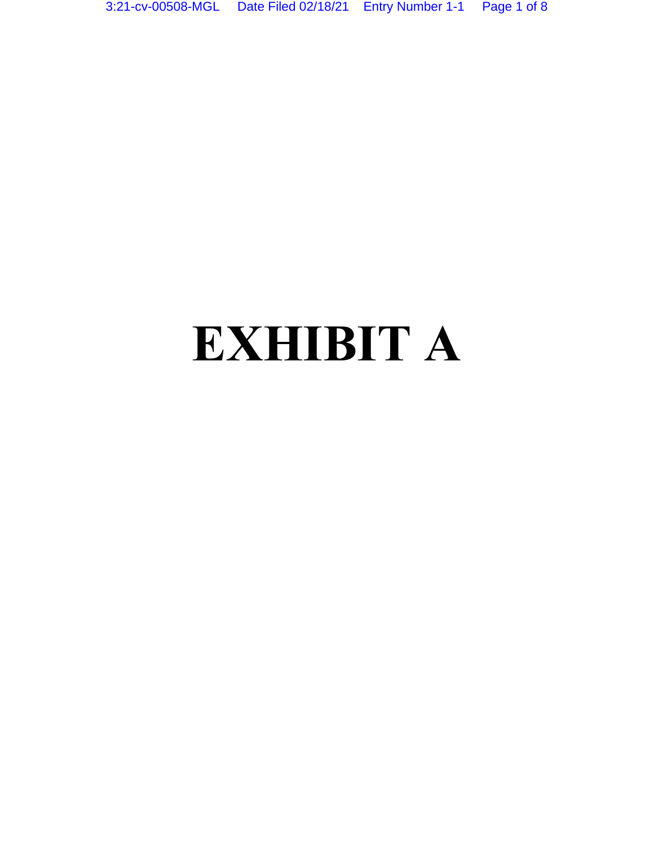# **EXHIBIT A**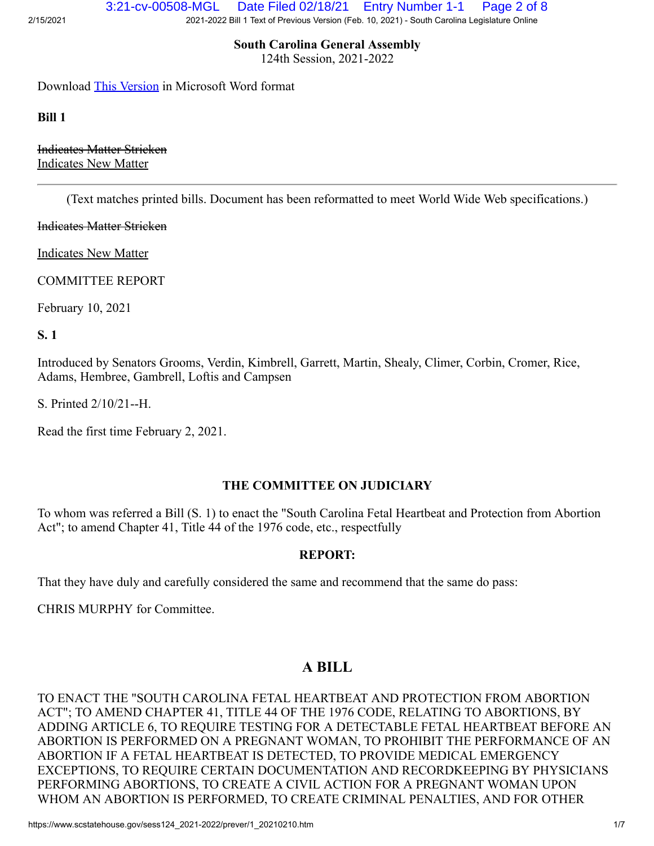**South Carolina General Assembly**

124th Session, 2021-2022

Download [This Version](https://www.scstatehouse.gov/sess124_2021-2022/prever/1_20210210.docx) in Microsoft Word format

**Bill 1**

Indicates Matter Stricken Indicates New Matter

(Text matches printed bills. Document has been reformatted to meet World Wide Web specifications.)

Indicates Matter Stricken

Indicates New Matter

COMMITTEE REPORT

February 10, 2021

**S. 1**

Introduced by Senators Grooms, Verdin, Kimbrell, Garrett, Martin, Shealy, Climer, Corbin, Cromer, Rice, Adams, Hembree, Gambrell, Loftis and Campsen

S. Printed 2/10/21--H.

Read the first time February 2, 2021.

#### **THE COMMITTEE ON JUDICIARY**

To whom was referred a Bill (S. 1) to enact the "South Carolina Fetal Heartbeat and Protection from Abortion Act"; to amend Chapter 41, Title 44 of the 1976 code, etc., respectfully

#### **REPORT:**

That they have duly and carefully considered the same and recommend that the same do pass:

CHRIS MURPHY for Committee.

# **A BILL**

TO ENACT THE "SOUTH CAROLINA FETAL HEARTBEAT AND PROTECTION FROM ABORTION ACT"; TO AMEND CHAPTER 41, TITLE 44 OF THE 1976 CODE, RELATING TO ABORTIONS, BY ADDING ARTICLE 6, TO REQUIRE TESTING FOR A DETECTABLE FETAL HEARTBEAT BEFORE AN ABORTION IS PERFORMED ON A PREGNANT WOMAN, TO PROHIBIT THE PERFORMANCE OF AN ABORTION IF A FETAL HEARTBEAT IS DETECTED, TO PROVIDE MEDICAL EMERGENCY EXCEPTIONS, TO REQUIRE CERTAIN DOCUMENTATION AND RECORDKEEPING BY PHYSICIANS PERFORMING ABORTIONS, TO CREATE A CIVIL ACTION FOR A PREGNANT WOMAN UPON WHOM AN ABORTION IS PERFORMED, TO CREATE CRIMINAL PENALTIES, AND FOR OTHER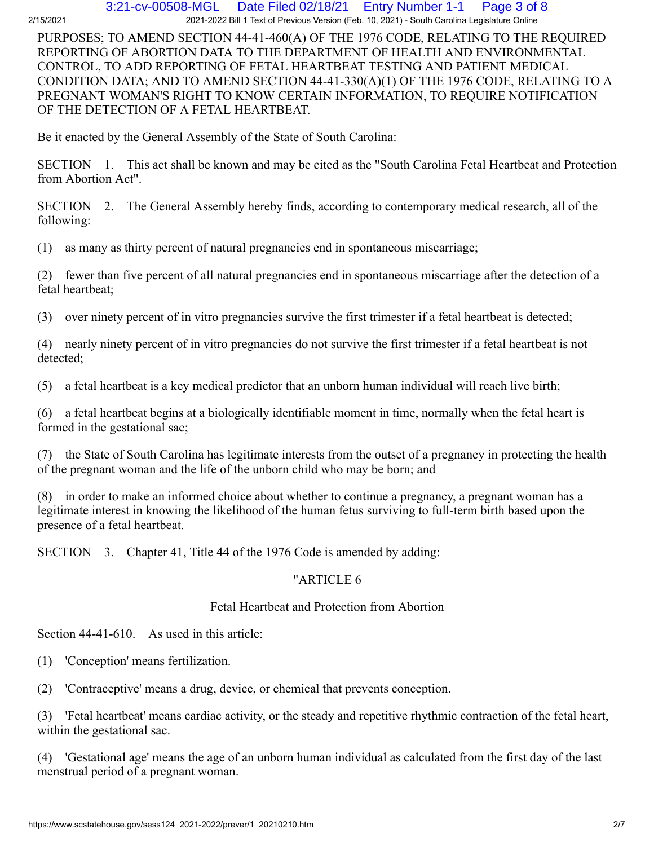#### 2/15/2021 2021-2022 Bill 1 Text of Previous Version (Feb. 10, 2021) - South Carolina Legislature Online 3:21-cv-00508-MGL Date Filed 02/18/21 Entry Number 1-1 Page 3 of 8

PURPOSES; TO AMEND SECTION 44-41-460(A) OF THE 1976 CODE, RELATING TO THE REQUIRED REPORTING OF ABORTION DATA TO THE DEPARTMENT OF HEALTH AND ENVIRONMENTAL CONTROL, TO ADD REPORTING OF FETAL HEARTBEAT TESTING AND PATIENT MEDICAL CONDITION DATA; AND TO AMEND SECTION 44-41-330(A)(1) OF THE 1976 CODE, RELATING TO A PREGNANT WOMAN'S RIGHT TO KNOW CERTAIN INFORMATION, TO REQUIRE NOTIFICATION OF THE DETECTION OF A FETAL HEARTBEAT.

Be it enacted by the General Assembly of the State of South Carolina:

SECTION 1. This act shall be known and may be cited as the "South Carolina Fetal Heartbeat and Protection from Abortion Act".

SECTION 2. The General Assembly hereby finds, according to contemporary medical research, all of the following:

(1) as many as thirty percent of natural pregnancies end in spontaneous miscarriage;

(2) fewer than five percent of all natural pregnancies end in spontaneous miscarriage after the detection of a fetal heartbeat;

(3) over ninety percent of in vitro pregnancies survive the first trimester if a fetal heartbeat is detected;

(4) nearly ninety percent of in vitro pregnancies do not survive the first trimester if a fetal heartbeat is not detected;

(5) a fetal heartbeat is a key medical predictor that an unborn human individual will reach live birth;

(6) a fetal heartbeat begins at a biologically identifiable moment in time, normally when the fetal heart is formed in the gestational sac;

(7) the State of South Carolina has legitimate interests from the outset of a pregnancy in protecting the health of the pregnant woman and the life of the unborn child who may be born; and

(8) in order to make an informed choice about whether to continue a pregnancy, a pregnant woman has a legitimate interest in knowing the likelihood of the human fetus surviving to full-term birth based upon the presence of a fetal heartbeat.

SECTION 3. Chapter 41, Title 44 of the 1976 Code is amended by adding:

# "ARTICLE 6

# Fetal Heartbeat and Protection from Abortion

Section 44-41-610. As used in this article:

(1) 'Conception' means fertilization.

(2) 'Contraceptive' means a drug, device, or chemical that prevents conception.

(3) 'Fetal heartbeat' means cardiac activity, or the steady and repetitive rhythmic contraction of the fetal heart, within the gestational sac.

(4) 'Gestational age' means the age of an unborn human individual as calculated from the first day of the last menstrual period of a pregnant woman.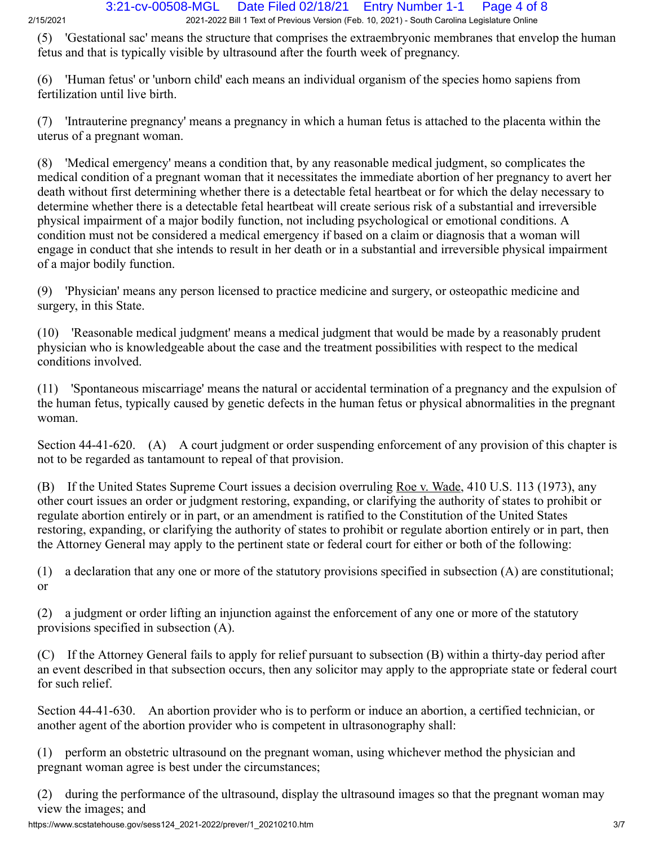(5) 'Gestational sac' means the structure that comprises the extraembryonic membranes that envelop the human fetus and that is typically visible by ultrasound after the fourth week of pregnancy.

(6) 'Human fetus' or 'unborn child' each means an individual organism of the species homo sapiens from fertilization until live birth.

(7) 'Intrauterine pregnancy' means a pregnancy in which a human fetus is attached to the placenta within the uterus of a pregnant woman.

(8) 'Medical emergency' means a condition that, by any reasonable medical judgment, so complicates the medical condition of a pregnant woman that it necessitates the immediate abortion of her pregnancy to avert her death without first determining whether there is a detectable fetal heartbeat or for which the delay necessary to determine whether there is a detectable fetal heartbeat will create serious risk of a substantial and irreversible physical impairment of a major bodily function, not including psychological or emotional conditions. A condition must not be considered a medical emergency if based on a claim or diagnosis that a woman will engage in conduct that she intends to result in her death or in a substantial and irreversible physical impairment of a major bodily function.

(9) 'Physician' means any person licensed to practice medicine and surgery, or osteopathic medicine and surgery, in this State.

(10) 'Reasonable medical judgment' means a medical judgment that would be made by a reasonably prudent physician who is knowledgeable about the case and the treatment possibilities with respect to the medical conditions involved.

(11) 'Spontaneous miscarriage' means the natural or accidental termination of a pregnancy and the expulsion of the human fetus, typically caused by genetic defects in the human fetus or physical abnormalities in the pregnant woman.

Section 44-41-620. (A) A court judgment or order suspending enforcement of any provision of this chapter is not to be regarded as tantamount to repeal of that provision.

(B) If the United States Supreme Court issues a decision overruling Roe v. Wade, 410 U.S. 113 (1973), any other court issues an order or judgment restoring, expanding, or clarifying the authority of states to prohibit or regulate abortion entirely or in part, or an amendment is ratified to the Constitution of the United States restoring, expanding, or clarifying the authority of states to prohibit or regulate abortion entirely or in part, then the Attorney General may apply to the pertinent state or federal court for either or both of the following:

(1) a declaration that any one or more of the statutory provisions specified in subsection (A) are constitutional; or

(2) a judgment or order lifting an injunction against the enforcement of any one or more of the statutory provisions specified in subsection (A).

(C) If the Attorney General fails to apply for relief pursuant to subsection (B) within a thirty-day period after an event described in that subsection occurs, then any solicitor may apply to the appropriate state or federal court for such relief.

| Section 44-41-630. An abortion provider who is to perform or induce an abortion, a certified technician, or |
|-------------------------------------------------------------------------------------------------------------|
| another agent of the abortion provider who is competent in ultrasonography shall:                           |

(1) perform an obstetric ultrasound on the pregnant woman, using whichever method the physician and pregnant woman agree is best under the circumstances;

(2) during the performance of the ultrasound, display the ultrasound images so that the pregnant woman may view the images; and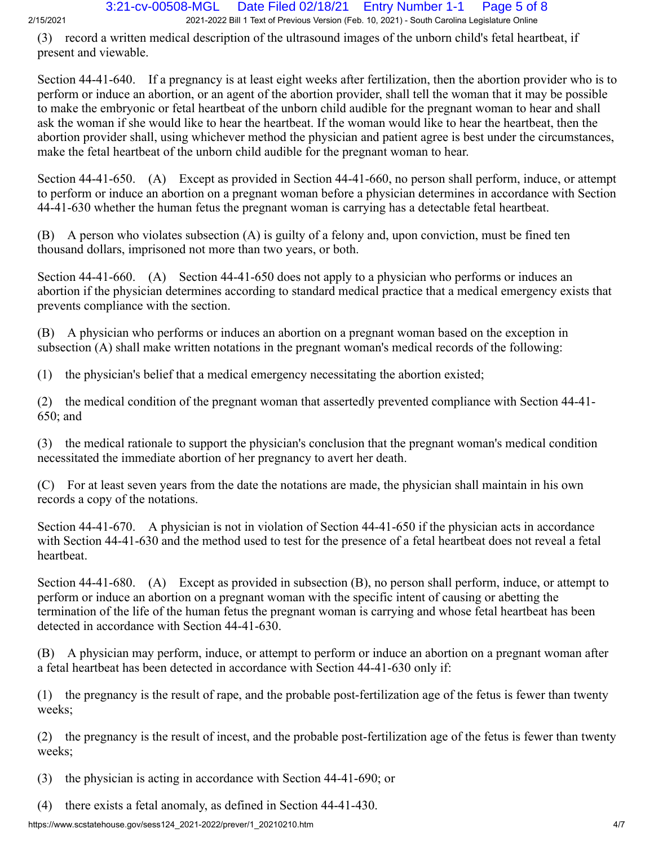(3) record a written medical description of the ultrasound images of the unborn child's fetal heartbeat, if present and viewable.

Section 44-41-640. If a pregnancy is at least eight weeks after fertilization, then the abortion provider who is to perform or induce an abortion, or an agent of the abortion provider, shall tell the woman that it may be possible to make the embryonic or fetal heartbeat of the unborn child audible for the pregnant woman to hear and shall ask the woman if she would like to hear the heartbeat. If the woman would like to hear the heartbeat, then the abortion provider shall, using whichever method the physician and patient agree is best under the circumstances, make the fetal heartbeat of the unborn child audible for the pregnant woman to hear.

Section 44-41-650. (A) Except as provided in Section 44-41-660, no person shall perform, induce, or attempt to perform or induce an abortion on a pregnant woman before a physician determines in accordance with Section 44-41-630 whether the human fetus the pregnant woman is carrying has a detectable fetal heartbeat.

(B) A person who violates subsection (A) is guilty of a felony and, upon conviction, must be fined ten thousand dollars, imprisoned not more than two years, or both.

Section 44-41-660. (A) Section 44-41-650 does not apply to a physician who performs or induces an abortion if the physician determines according to standard medical practice that a medical emergency exists that prevents compliance with the section.

(B) A physician who performs or induces an abortion on a pregnant woman based on the exception in subsection (A) shall make written notations in the pregnant woman's medical records of the following:

(1) the physician's belief that a medical emergency necessitating the abortion existed;

(2) the medical condition of the pregnant woman that assertedly prevented compliance with Section 44-41- 650; and

(3) the medical rationale to support the physician's conclusion that the pregnant woman's medical condition necessitated the immediate abortion of her pregnancy to avert her death.

(C) For at least seven years from the date the notations are made, the physician shall maintain in his own records a copy of the notations.

Section 44-41-670. A physician is not in violation of Section 44-41-650 if the physician acts in accordance with Section 44-41-630 and the method used to test for the presence of a fetal heartbeat does not reveal a fetal heartbeat.

Section 44-41-680. (A) Except as provided in subsection (B), no person shall perform, induce, or attempt to perform or induce an abortion on a pregnant woman with the specific intent of causing or abetting the termination of the life of the human fetus the pregnant woman is carrying and whose fetal heartbeat has been detected in accordance with Section 44-41-630.

(B) A physician may perform, induce, or attempt to perform or induce an abortion on a pregnant woman after a fetal heartbeat has been detected in accordance with Section 44-41-630 only if:

(1) the pregnancy is the result of rape, and the probable post-fertilization age of the fetus is fewer than twenty weeks;

(2) the pregnancy is the result of incest, and the probable post-fertilization age of the fetus is fewer than twenty weeks;

(3) the physician is acting in accordance with Section 44-41-690; or

(4) there exists a fetal anomaly, as defined in Section 44-41-430.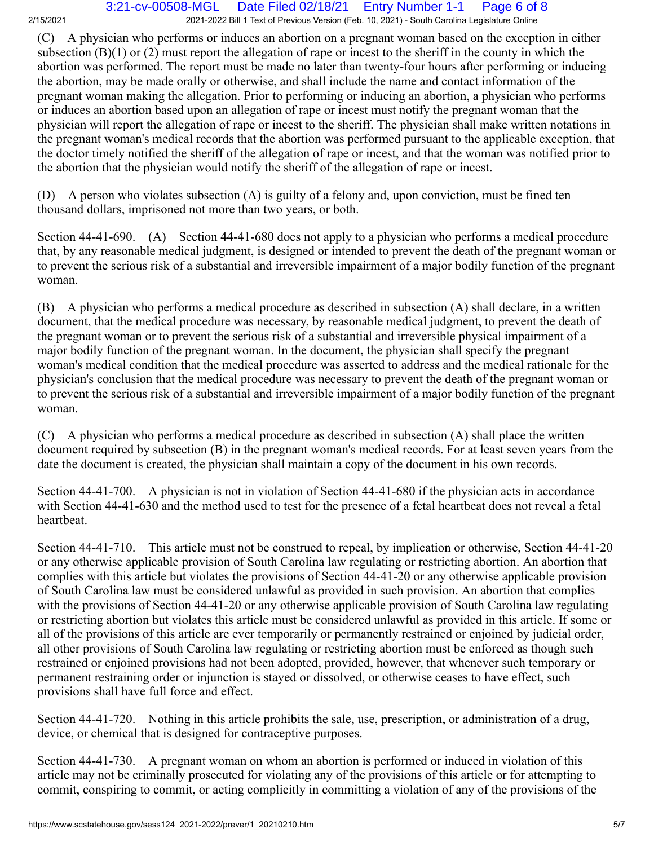2/15/2021 2021-2022 Bill 1 Text of Previous Version (Feb. 10, 2021) - South Carolina Legislature Online 3:21-cv-00508-MGL Date Filed 02/18/21 Entry Number 1-1 Page 6 of 8

(C) A physician who performs or induces an abortion on a pregnant woman based on the exception in either subsection (B)(1) or (2) must report the allegation of rape or incest to the sheriff in the county in which the abortion was performed. The report must be made no later than twenty-four hours after performing or inducing the abortion, may be made orally or otherwise, and shall include the name and contact information of the pregnant woman making the allegation. Prior to performing or inducing an abortion, a physician who performs or induces an abortion based upon an allegation of rape or incest must notify the pregnant woman that the physician will report the allegation of rape or incest to the sheriff. The physician shall make written notations in the pregnant woman's medical records that the abortion was performed pursuant to the applicable exception, that the doctor timely notified the sheriff of the allegation of rape or incest, and that the woman was notified prior to the abortion that the physician would notify the sheriff of the allegation of rape or incest.

(D) A person who violates subsection (A) is guilty of a felony and, upon conviction, must be fined ten thousand dollars, imprisoned not more than two years, or both.

Section 44-41-690. (A) Section 44-41-680 does not apply to a physician who performs a medical procedure that, by any reasonable medical judgment, is designed or intended to prevent the death of the pregnant woman or to prevent the serious risk of a substantial and irreversible impairment of a major bodily function of the pregnant woman.

(B) A physician who performs a medical procedure as described in subsection (A) shall declare, in a written document, that the medical procedure was necessary, by reasonable medical judgment, to prevent the death of the pregnant woman or to prevent the serious risk of a substantial and irreversible physical impairment of a major bodily function of the pregnant woman. In the document, the physician shall specify the pregnant woman's medical condition that the medical procedure was asserted to address and the medical rationale for the physician's conclusion that the medical procedure was necessary to prevent the death of the pregnant woman or to prevent the serious risk of a substantial and irreversible impairment of a major bodily function of the pregnant woman.

(C) A physician who performs a medical procedure as described in subsection (A) shall place the written document required by subsection (B) in the pregnant woman's medical records. For at least seven years from the date the document is created, the physician shall maintain a copy of the document in his own records.

Section 44-41-700. A physician is not in violation of Section 44-41-680 if the physician acts in accordance with Section 44-41-630 and the method used to test for the presence of a fetal heartbeat does not reveal a fetal heartbeat.

Section 44-41-710. This article must not be construed to repeal, by implication or otherwise, Section 44-41-20 or any otherwise applicable provision of South Carolina law regulating or restricting abortion. An abortion that complies with this article but violates the provisions of Section 44-41-20 or any otherwise applicable provision of South Carolina law must be considered unlawful as provided in such provision. An abortion that complies with the provisions of Section 44-41-20 or any otherwise applicable provision of South Carolina law regulating or restricting abortion but violates this article must be considered unlawful as provided in this article. If some or all of the provisions of this article are ever temporarily or permanently restrained or enjoined by judicial order, all other provisions of South Carolina law regulating or restricting abortion must be enforced as though such restrained or enjoined provisions had not been adopted, provided, however, that whenever such temporary or permanent restraining order or injunction is stayed or dissolved, or otherwise ceases to have effect, such provisions shall have full force and effect.

Section 44-41-720. Nothing in this article prohibits the sale, use, prescription, or administration of a drug, device, or chemical that is designed for contraceptive purposes.

Section 44-41-730. A pregnant woman on whom an abortion is performed or induced in violation of this article may not be criminally prosecuted for violating any of the provisions of this article or for attempting to commit, conspiring to commit, or acting complicitly in committing a violation of any of the provisions of the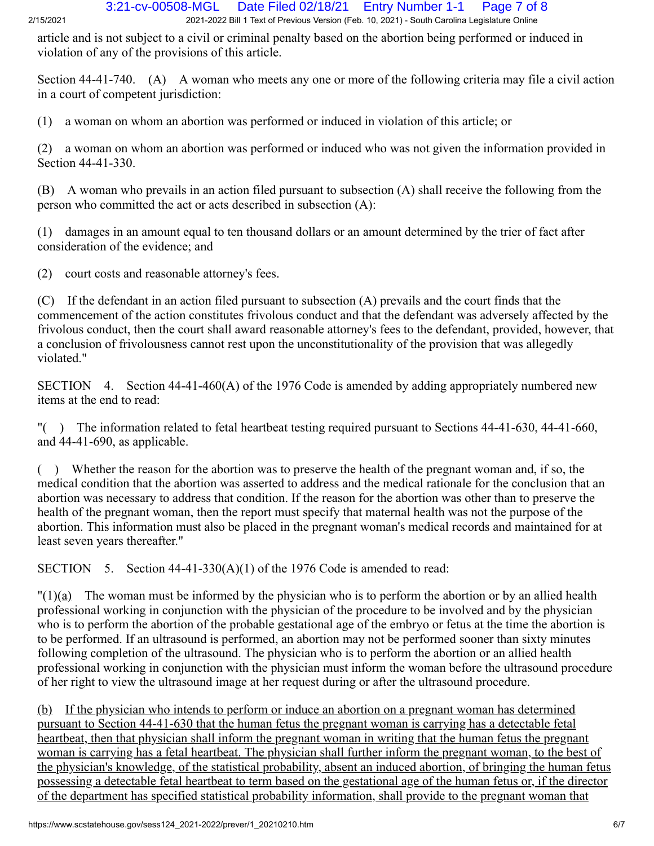article and is not subject to a civil or criminal penalty based on the abortion being performed or induced in violation of any of the provisions of this article.

Section 44-41-740. (A) A woman who meets any one or more of the following criteria may file a civil action in a court of competent jurisdiction:

(1) a woman on whom an abortion was performed or induced in violation of this article; or

(2) a woman on whom an abortion was performed or induced who was not given the information provided in Section 44-41-330.

(B) A woman who prevails in an action filed pursuant to subsection (A) shall receive the following from the person who committed the act or acts described in subsection (A):

(1) damages in an amount equal to ten thousand dollars or an amount determined by the trier of fact after consideration of the evidence; and

(2) court costs and reasonable attorney's fees.

(C) If the defendant in an action filed pursuant to subsection (A) prevails and the court finds that the commencement of the action constitutes frivolous conduct and that the defendant was adversely affected by the frivolous conduct, then the court shall award reasonable attorney's fees to the defendant, provided, however, that a conclusion of frivolousness cannot rest upon the unconstitutionality of the provision that was allegedly violated."

SECTION 4. Section 44-41-460(A) of the 1976 Code is amended by adding appropriately numbered new items at the end to read:

"( ) The information related to fetal heartbeat testing required pursuant to Sections 44-41-630, 44-41-660, and 44-41-690, as applicable.

( ) Whether the reason for the abortion was to preserve the health of the pregnant woman and, if so, the medical condition that the abortion was asserted to address and the medical rationale for the conclusion that an abortion was necessary to address that condition. If the reason for the abortion was other than to preserve the health of the pregnant woman, then the report must specify that maternal health was not the purpose of the abortion. This information must also be placed in the pregnant woman's medical records and maintained for at least seven years thereafter."

SECTION 5. Section  $44-41-330(A)(1)$  of the 1976 Code is amended to read:

 $\binom{n}{2}$  The woman must be informed by the physician who is to perform the abortion or by an allied health professional working in conjunction with the physician of the procedure to be involved and by the physician who is to perform the abortion of the probable gestational age of the embryo or fetus at the time the abortion is to be performed. If an ultrasound is performed, an abortion may not be performed sooner than sixty minutes following completion of the ultrasound. The physician who is to perform the abortion or an allied health professional working in conjunction with the physician must inform the woman before the ultrasound procedure of her right to view the ultrasound image at her request during or after the ultrasound procedure.

(b) If the physician who intends to perform or induce an abortion on a pregnant woman has determined pursuant to Section 44-41-630 that the human fetus the pregnant woman is carrying has a detectable fetal heartbeat, then that physician shall inform the pregnant woman in writing that the human fetus the pregnant woman is carrying has a fetal heartbeat. The physician shall further inform the pregnant woman, to the best of the physician's knowledge, of the statistical probability, absent an induced abortion, of bringing the human fetus possessing a detectable fetal heartbeat to term based on the gestational age of the human fetus or, if the director of the department has specified statistical probability information, shall provide to the pregnant woman that